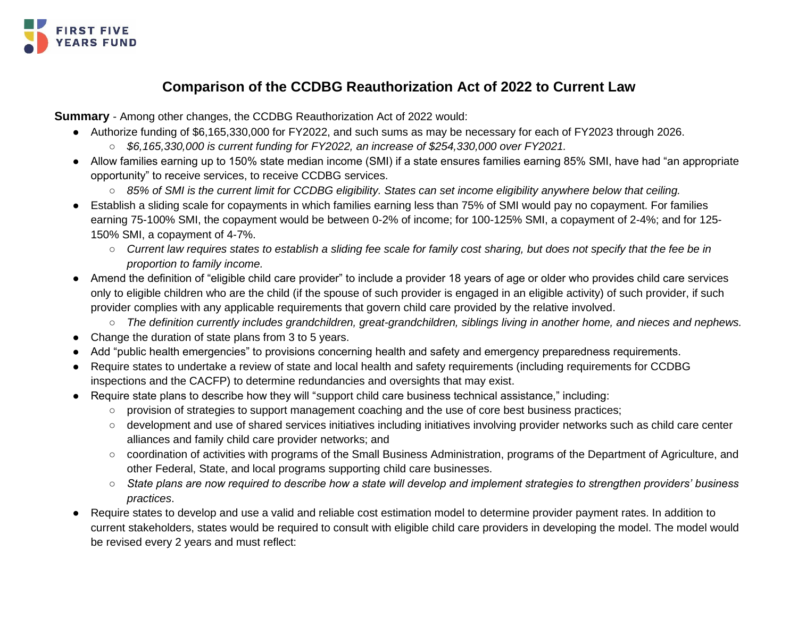

## **Comparison of the CCDBG Reauthorization Act of 2022 to Current Law**

<span id="page-0-0"></span>**Summary** - Among other changes, the CCDBG Reauthorization Act of 2022 would:

- Authorize funding of \$6,165,330,000 for FY2022, and such sums as may be necessary for each of FY2023 through 2026.
	- *\$6,165,330,000 is current funding for FY2022, an increase of \$254,330,000 over FY2021.*
- Allow families earning up to 150% state median income (SMI) if a state ensures families earning 85% SMI, have had "an appropriate opportunity" to receive services, to receive CCDBG services.
	- *85% of SMI is the current limit for CCDBG eligibility. States can set income eligibility anywhere below that ceiling.*
- Establish a sliding scale for copayments in which families earning less than 75% of SMI would pay no copayment. For families earning 75-100% SMI, the copayment would be between 0-2% of income; for 100-125% SMI, a copayment of 2-4%; and for 125- 150% SMI, a copayment of 4-7%.
	- *Current law requires states to establish a sliding fee scale for family cost sharing, but does not specify that the fee be in proportion to family income.*
- Amend the definition of "eligible child care provider" to include a provider 18 years of age or older who provides child care services only to eligible children who are the child (if the spouse of such provider is engaged in an eligible activity) of such provider, if such provider complies with any applicable requirements that govern child care provided by the relative involved.
	- *The definition currently includes grandchildren, great-grandchildren, siblings living in another home, and nieces and nephews.*
- Change the duration of state plans from 3 to 5 years.
- Add "public health emergencies" to provisions concerning health and safety and emergency preparedness requirements.
- Require states to undertake a review of state and local health and safety requirements (including requirements for CCDBG inspections and the CACFP) to determine redundancies and oversights that may exist.
- Require state plans to describe how they will "*s*upport child care business technical assistance," including:
	- provision of strategies to support management coaching and the use of core best business practices;
	- development and use of shared services initiatives including initiatives involving provider networks such as child care center alliances and family child care provider networks; and
	- coordination of activities with programs of the Small Business Administration, programs of the Department of Agriculture, and other Federal, State, and local programs supporting child care businesses.
	- *State plans are now required to describe how a state will develop and implement strategies to strengthen providers' business practices*.
- Require states to develop and use a valid and reliable cost estimation model to determine provider payment rates. In addition to current stakeholders, states would be required to consult with eligible child care providers in developing the model. The model would be revised every 2 years and must reflect: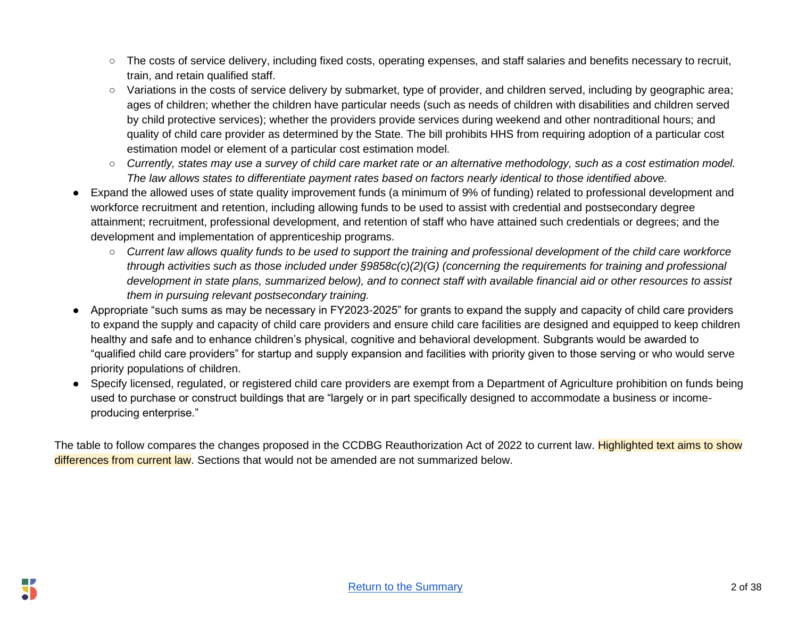- The costs of service delivery, including fixed costs, operating expenses, and staff salaries and benefits necessary to recruit, train, and retain qualified staff.
- Variations in the costs of service delivery by submarket, type of provider, and children served, including by geographic area; ages of children; whether the children have particular needs (such as needs of children with disabilities and children served by child protective services); whether the providers provide services during weekend and other nontraditional hours; and quality of child care provider as determined by the State. The bill prohibits HHS from requiring adoption of a particular cost estimation model or element of a particular cost estimation model.
- *Currently, states may use a survey of child care market rate or an alternative methodology, such as a cost estimation model. The law allows states to differentiate payment rates based on factors nearly identical to those identified above.*
- Expand the allowed uses of state quality improvement funds (a minimum of 9% of funding) related to professional development and workforce recruitment and retention, including allowing funds to be used to assist with credential and postsecondary degree attainment; recruitment, professional development, and retention of staff who have attained such credentials or degrees; and the development and implementation of apprenticeship programs.
	- *Current law allows quality funds to be used to support the training and professional development of the child care workforce through activities such as those included under §9858c(c)(2)(G) (concerning the requirements for training and professional development in state plans, summarized below), and to connect staff with available financial aid or other resources to assist them in pursuing relevant postsecondary training.*
- Appropriate "such sums as may be necessary in FY2023-2025" for grants to expand the supply and capacity of child care providers to expand the supply and capacity of child care providers and ensure child care facilities are designed and equipped to keep children healthy and safe and to enhance children's physical, cognitive and behavioral development. Subgrants would be awarded to "qualified child care providers" for startup and supply expansion and facilities with priority given to those serving or who would serve priority populations of children.
- Specify licensed, regulated, or registered child care providers are exempt from a Department of Agriculture prohibition on funds being used to purchase or construct buildings that are "largely or in part specifically designed to accommodate a business or incomeproducing enterprise."

The table to follow compares the changes proposed in the CCDBG Reauthorization Act of 2022 to current law. Highlighted text aims to show differences from current law. Sections that would not be amended are not summarized below.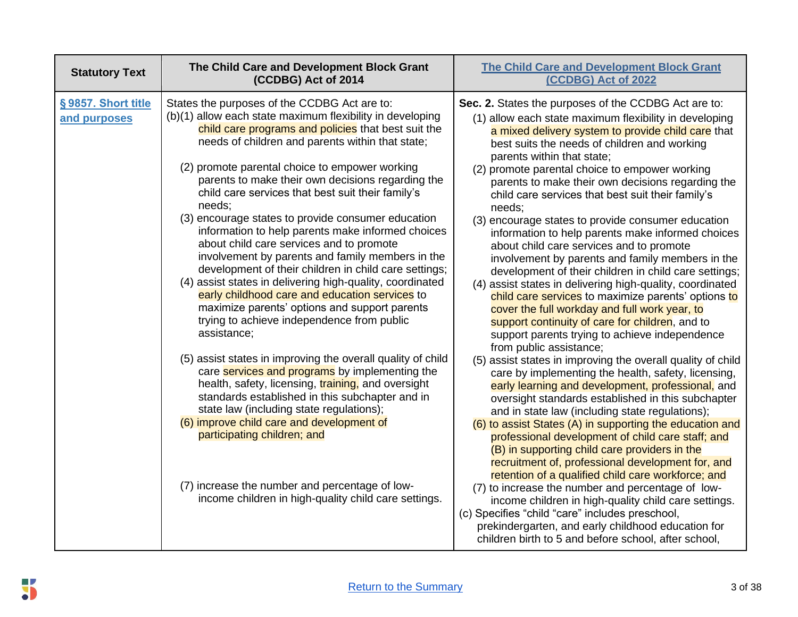| <b>Statutory Text</b>              | The Child Care and Development Block Grant<br>(CCDBG) Act of 2014                                                                                                                                                                                                                                                                                                                                                                                                                                                                                                                                                                                                                                                                                                                                                                                                                                                                                                                                                                                                                                                                                                                                                                                                                                                                                       | <b>The Child Care and Development Block Grant</b><br>(CCDBG) Act of 2022                                                                                                                                                                                                                                                                                                                                                                                                                                                                                                                                                                                                                                                                                                                                                                                                                                                                                                                                                                                                                                                                                                                                                                                                                                                                                                                                                                                                                                                                                                                                                                                                                                                                                                                                                                         |
|------------------------------------|---------------------------------------------------------------------------------------------------------------------------------------------------------------------------------------------------------------------------------------------------------------------------------------------------------------------------------------------------------------------------------------------------------------------------------------------------------------------------------------------------------------------------------------------------------------------------------------------------------------------------------------------------------------------------------------------------------------------------------------------------------------------------------------------------------------------------------------------------------------------------------------------------------------------------------------------------------------------------------------------------------------------------------------------------------------------------------------------------------------------------------------------------------------------------------------------------------------------------------------------------------------------------------------------------------------------------------------------------------|--------------------------------------------------------------------------------------------------------------------------------------------------------------------------------------------------------------------------------------------------------------------------------------------------------------------------------------------------------------------------------------------------------------------------------------------------------------------------------------------------------------------------------------------------------------------------------------------------------------------------------------------------------------------------------------------------------------------------------------------------------------------------------------------------------------------------------------------------------------------------------------------------------------------------------------------------------------------------------------------------------------------------------------------------------------------------------------------------------------------------------------------------------------------------------------------------------------------------------------------------------------------------------------------------------------------------------------------------------------------------------------------------------------------------------------------------------------------------------------------------------------------------------------------------------------------------------------------------------------------------------------------------------------------------------------------------------------------------------------------------------------------------------------------------------------------------------------------------|
| §9857. Short title<br>and purposes | States the purposes of the CCDBG Act are to:<br>(b)(1) allow each state maximum flexibility in developing<br>child care programs and policies that best suit the<br>needs of children and parents within that state;<br>(2) promote parental choice to empower working<br>parents to make their own decisions regarding the<br>child care services that best suit their family's<br>needs;<br>(3) encourage states to provide consumer education<br>information to help parents make informed choices<br>about child care services and to promote<br>involvement by parents and family members in the<br>development of their children in child care settings;<br>(4) assist states in delivering high-quality, coordinated<br>early childhood care and education services to<br>maximize parents' options and support parents<br>trying to achieve independence from public<br>assistance;<br>(5) assist states in improving the overall quality of child<br>care services and programs by implementing the<br>health, safety, licensing, training, and oversight<br>standards established in this subchapter and in<br>state law (including state regulations);<br>(6) improve child care and development of<br>participating children; and<br>(7) increase the number and percentage of low-<br>income children in high-quality child care settings. | Sec. 2. States the purposes of the CCDBG Act are to:<br>(1) allow each state maximum flexibility in developing<br>a mixed delivery system to provide child care that<br>best suits the needs of children and working<br>parents within that state;<br>(2) promote parental choice to empower working<br>parents to make their own decisions regarding the<br>child care services that best suit their family's<br>needs;<br>(3) encourage states to provide consumer education<br>information to help parents make informed choices<br>about child care services and to promote<br>involvement by parents and family members in the<br>development of their children in child care settings;<br>(4) assist states in delivering high-quality, coordinated<br>child care services to maximize parents' options to<br>cover the full workday and full work year, to<br>support continuity of care for children, and to<br>support parents trying to achieve independence<br>from public assistance;<br>(5) assist states in improving the overall quality of child<br>care by implementing the health, safety, licensing,<br>early learning and development, professional, and<br>oversight standards established in this subchapter<br>and in state law (including state regulations);<br>(6) to assist States (A) in supporting the education and<br>professional development of child care staff; and<br>(B) in supporting child care providers in the<br>recruitment of, professional development for, and<br>retention of a qualified child care workforce; and<br>(7) to increase the number and percentage of low-<br>income children in high-quality child care settings.<br>(c) Specifies "child "care" includes preschool,<br>prekindergarten, and early childhood education for<br>children birth to 5 and before school, after school, |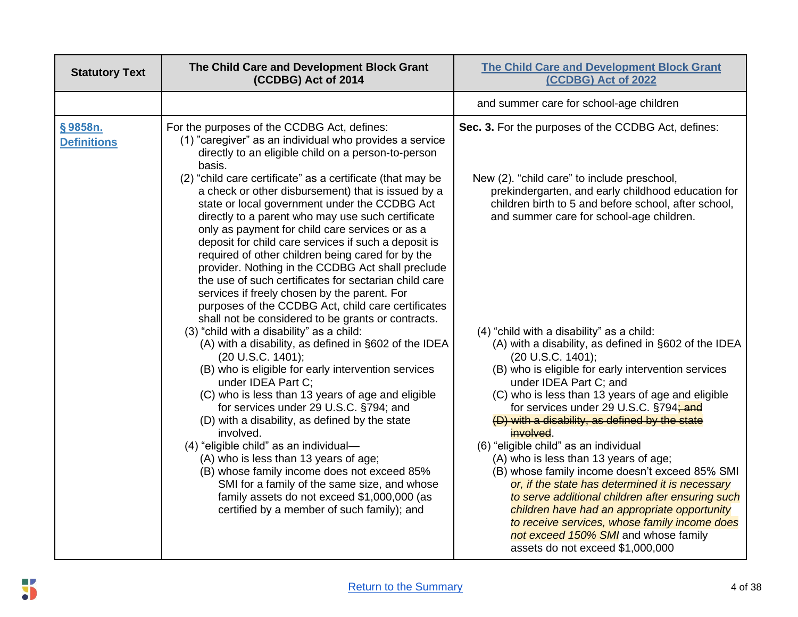| <b>Statutory Text</b>         | The Child Care and Development Block Grant<br>(CCDBG) Act of 2014                                                                                                                                                                                                                                                                                                                                                                                                                                                                                                                                                                                                | <b>The Child Care and Development Block Grant</b><br>(CCDBG) Act of 2022                                                                                                                                                                                                                                                                                                                                                                                                                                                                                                                                                                                                                                                                                                                       |
|-------------------------------|------------------------------------------------------------------------------------------------------------------------------------------------------------------------------------------------------------------------------------------------------------------------------------------------------------------------------------------------------------------------------------------------------------------------------------------------------------------------------------------------------------------------------------------------------------------------------------------------------------------------------------------------------------------|------------------------------------------------------------------------------------------------------------------------------------------------------------------------------------------------------------------------------------------------------------------------------------------------------------------------------------------------------------------------------------------------------------------------------------------------------------------------------------------------------------------------------------------------------------------------------------------------------------------------------------------------------------------------------------------------------------------------------------------------------------------------------------------------|
|                               |                                                                                                                                                                                                                                                                                                                                                                                                                                                                                                                                                                                                                                                                  | and summer care for school-age children                                                                                                                                                                                                                                                                                                                                                                                                                                                                                                                                                                                                                                                                                                                                                        |
| §9858n.<br><b>Definitions</b> | For the purposes of the CCDBG Act, defines:<br>(1) "caregiver" as an individual who provides a service<br>directly to an eligible child on a person-to-person<br>basis.                                                                                                                                                                                                                                                                                                                                                                                                                                                                                          | Sec. 3. For the purposes of the CCDBG Act, defines:                                                                                                                                                                                                                                                                                                                                                                                                                                                                                                                                                                                                                                                                                                                                            |
|                               | (2) "child care certificate" as a certificate (that may be<br>a check or other disbursement) that is issued by a<br>state or local government under the CCDBG Act<br>directly to a parent who may use such certificate<br>only as payment for child care services or as a<br>deposit for child care services if such a deposit is<br>required of other children being cared for by the<br>provider. Nothing in the CCDBG Act shall preclude<br>the use of such certificates for sectarian child care<br>services if freely chosen by the parent. For<br>purposes of the CCDBG Act, child care certificates<br>shall not be considered to be grants or contracts. | New (2). "child care" to include preschool,<br>prekindergarten, and early childhood education for<br>children birth to 5 and before school, after school,<br>and summer care for school-age children.                                                                                                                                                                                                                                                                                                                                                                                                                                                                                                                                                                                          |
|                               | (3) "child with a disability" as a child:<br>(A) with a disability, as defined in §602 of the IDEA<br>(20 U.S.C. 1401);<br>(B) who is eligible for early intervention services<br>under IDEA Part C;<br>(C) who is less than 13 years of age and eligible<br>for services under 29 U.S.C. §794; and<br>(D) with a disability, as defined by the state<br>involved.<br>(4) "eligible child" as an individual-<br>(A) who is less than 13 years of age;<br>(B) whose family income does not exceed 85%<br>SMI for a family of the same size, and whose<br>family assets do not exceed \$1,000,000 (as<br>certified by a member of such family); and                | (4) "child with a disability" as a child:<br>(A) with a disability, as defined in §602 of the IDEA<br>(20 U.S.C. 1401);<br>(B) who is eligible for early intervention services<br>under IDEA Part C; and<br>(C) who is less than 13 years of age and eligible<br>for services under 29 U.S.C. §794; and<br>(D) with a disability, as defined by the state<br>involved.<br>(6) "eligible child" as an individual<br>(A) who is less than 13 years of age;<br>(B) whose family income doesn't exceed 85% SMI<br>or, if the state has determined it is necessary<br>to serve additional children after ensuring such<br>children have had an appropriate opportunity<br>to receive services, whose family income does<br>not exceed 150% SMI and whose family<br>assets do not exceed \$1,000,000 |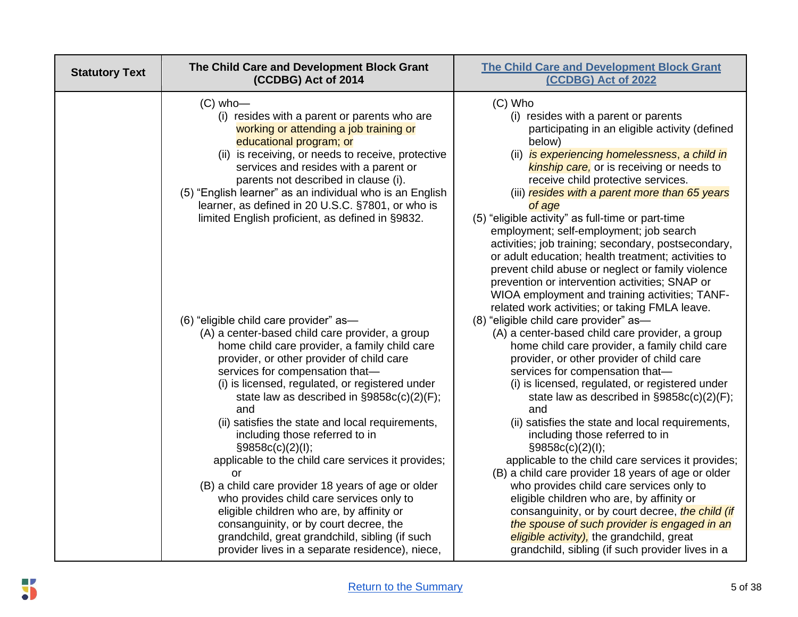| <b>Statutory Text</b> | The Child Care and Development Block Grant<br>(CCDBG) Act of 2014                                                                                                                                                                                                                                                                                                                                                                                                                                                                                                                                                                                                                                                                                                                                           | <b>The Child Care and Development Block Grant</b><br>(CCDBG) Act of 2022                                                                                                                                                                                                                                                                                                                                                                                                                                                                                                                                                                                                                                                                                                                                                                                                                                      |
|-----------------------|-------------------------------------------------------------------------------------------------------------------------------------------------------------------------------------------------------------------------------------------------------------------------------------------------------------------------------------------------------------------------------------------------------------------------------------------------------------------------------------------------------------------------------------------------------------------------------------------------------------------------------------------------------------------------------------------------------------------------------------------------------------------------------------------------------------|---------------------------------------------------------------------------------------------------------------------------------------------------------------------------------------------------------------------------------------------------------------------------------------------------------------------------------------------------------------------------------------------------------------------------------------------------------------------------------------------------------------------------------------------------------------------------------------------------------------------------------------------------------------------------------------------------------------------------------------------------------------------------------------------------------------------------------------------------------------------------------------------------------------|
|                       | $(C)$ who-<br>(i) resides with a parent or parents who are<br>working or attending a job training or<br>educational program; or<br>(ii) is receiving, or needs to receive, protective<br>services and resides with a parent or<br>parents not described in clause (i).<br>(5) "English learner" as an individual who is an English<br>learner, as defined in 20 U.S.C. §7801, or who is<br>limited English proficient, as defined in §9832.                                                                                                                                                                                                                                                                                                                                                                 | (C) Who<br>(i) resides with a parent or parents<br>participating in an eligible activity (defined<br>below)<br>(ii) is experiencing homelessness, a child in<br><b>kinship care</b> , or is receiving or needs to<br>receive child protective services.<br>(iii) resides with a parent more than 65 years<br>of age<br>(5) "eligible activity" as full-time or part-time<br>employment; self-employment; job search<br>activities; job training; secondary, postsecondary,<br>or adult education; health treatment; activities to<br>prevent child abuse or neglect or family violence<br>prevention or intervention activities; SNAP or<br>WIOA employment and training activities; TANF-                                                                                                                                                                                                                    |
|                       | (6) "eligible child care provider" as-<br>(A) a center-based child care provider, a group<br>home child care provider, a family child care<br>provider, or other provider of child care<br>services for compensation that-<br>(i) is licensed, regulated, or registered under<br>state law as described in $\S 9858c(c)(2)$ (F);<br>and<br>(ii) satisfies the state and local requirements,<br>including those referred to in<br>§9858c(c)(2)(1);<br>applicable to the child care services it provides;<br>or<br>(B) a child care provider 18 years of age or older<br>who provides child care services only to<br>eligible children who are, by affinity or<br>consanguinity, or by court decree, the<br>grandchild, great grandchild, sibling (if such<br>provider lives in a separate residence), niece, | related work activities; or taking FMLA leave.<br>(8) "eligible child care provider" as-<br>(A) a center-based child care provider, a group<br>home child care provider, a family child care<br>provider, or other provider of child care<br>services for compensation that-<br>(i) is licensed, regulated, or registered under<br>state law as described in $\S 9858c(c)(2)(F)$ ;<br>and<br>(ii) satisfies the state and local requirements,<br>including those referred to in<br>§9858c(c)(2)(1);<br>applicable to the child care services it provides;<br>(B) a child care provider 18 years of age or older<br>who provides child care services only to<br>eligible children who are, by affinity or<br>consanguinity, or by court decree, the child (if<br>the spouse of such provider is engaged in an<br>eligible activity), the grandchild, great<br>grandchild, sibling (if such provider lives in a |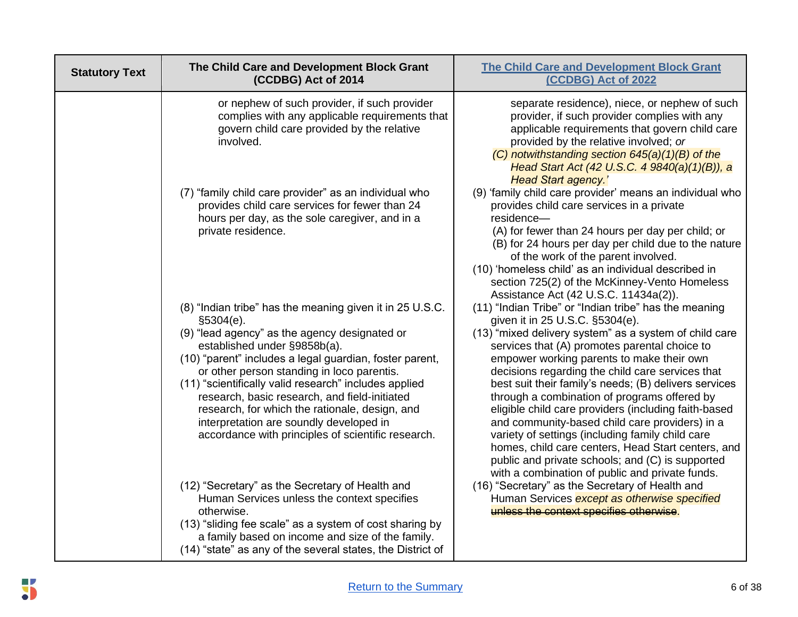| <b>Statutory Text</b> | The Child Care and Development Block Grant<br>(CCDBG) Act of 2014                                                                                                                                                                                                                                                                                                                                                                                                                                                             | <b>The Child Care and Development Block Grant</b><br>(CCDBG) Act of 2022                                                                                                                                                                                                                                                                                                                                                                                                                                                                                                                                                                                                                                                                 |
|-----------------------|-------------------------------------------------------------------------------------------------------------------------------------------------------------------------------------------------------------------------------------------------------------------------------------------------------------------------------------------------------------------------------------------------------------------------------------------------------------------------------------------------------------------------------|------------------------------------------------------------------------------------------------------------------------------------------------------------------------------------------------------------------------------------------------------------------------------------------------------------------------------------------------------------------------------------------------------------------------------------------------------------------------------------------------------------------------------------------------------------------------------------------------------------------------------------------------------------------------------------------------------------------------------------------|
|                       | or nephew of such provider, if such provider<br>complies with any applicable requirements that<br>govern child care provided by the relative<br>involved.                                                                                                                                                                                                                                                                                                                                                                     | separate residence), niece, or nephew of such<br>provider, if such provider complies with any<br>applicable requirements that govern child care<br>provided by the relative involved; or<br>$(C)$ notwithstanding section 645(a)(1)(B) of the<br>Head Start Act (42 U.S.C. 4 9840(a)(1)(B)), a<br><b>Head Start agency.'</b>                                                                                                                                                                                                                                                                                                                                                                                                             |
|                       | (7) "family child care provider" as an individual who<br>provides child care services for fewer than 24<br>hours per day, as the sole caregiver, and in a<br>private residence.                                                                                                                                                                                                                                                                                                                                               | (9) 'family child care provider' means an individual who<br>provides child care services in a private<br>residence-<br>(A) for fewer than 24 hours per day per child; or<br>(B) for 24 hours per day per child due to the nature<br>of the work of the parent involved.<br>(10) 'homeless child' as an individual described in<br>section 725(2) of the McKinney-Vento Homeless<br>Assistance Act (42 U.S.C. 11434a(2)).                                                                                                                                                                                                                                                                                                                 |
|                       | (8) "Indian tribe" has the meaning given it in 25 U.S.C.<br>\$5304(e).<br>(9) "lead agency" as the agency designated or<br>established under §9858b(a).<br>(10) "parent" includes a legal guardian, foster parent,<br>or other person standing in loco parentis.<br>(11) "scientifically valid research" includes applied<br>research, basic research, and field-initiated<br>research, for which the rationale, design, and<br>interpretation are soundly developed in<br>accordance with principles of scientific research. | (11) "Indian Tribe" or "Indian tribe" has the meaning<br>given it in 25 U.S.C. §5304(e).<br>(13) "mixed delivery system" as a system of child care<br>services that (A) promotes parental choice to<br>empower working parents to make their own<br>decisions regarding the child care services that<br>best suit their family's needs; (B) delivers services<br>through a combination of programs offered by<br>eligible child care providers (including faith-based<br>and community-based child care providers) in a<br>variety of settings (including family child care<br>homes, child care centers, Head Start centers, and<br>public and private schools; and (C) is supported<br>with a combination of public and private funds. |
|                       | (12) "Secretary" as the Secretary of Health and<br>Human Services unless the context specifies<br>otherwise.<br>(13) "sliding fee scale" as a system of cost sharing by<br>a family based on income and size of the family.<br>(14) "state" as any of the several states, the District of                                                                                                                                                                                                                                     | (16) "Secretary" as the Secretary of Health and<br>Human Services except as otherwise specified<br>unless the context specifies otherwise.                                                                                                                                                                                                                                                                                                                                                                                                                                                                                                                                                                                               |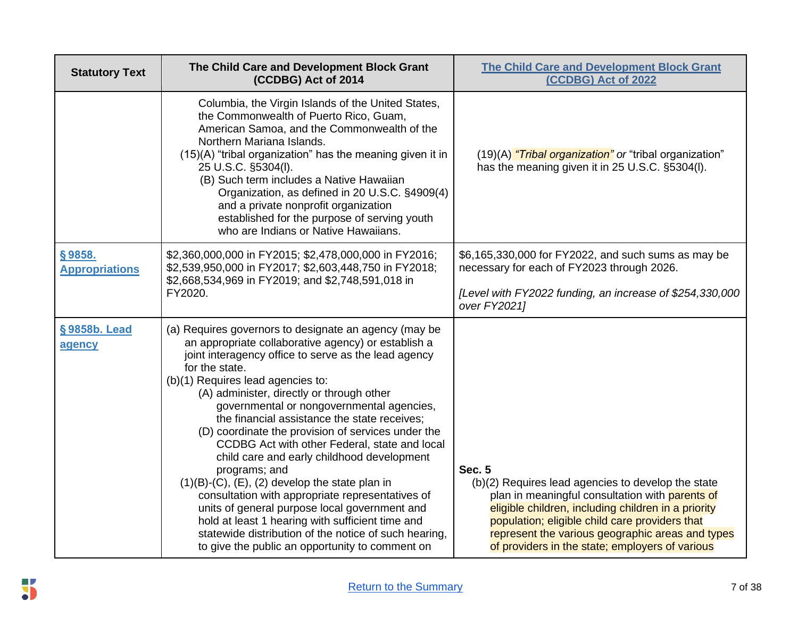| <b>Statutory Text</b>           | The Child Care and Development Block Grant<br>(CCDBG) Act of 2014                                                                                                                                                                                                                                                                                                                                                                                                                                                                                                                                                                                                                                                                                                                                                                                                          | <b>The Child Care and Development Block Grant</b><br>(CCDBG) Act of 2022                                                                                                                                                                                                                                                               |
|---------------------------------|----------------------------------------------------------------------------------------------------------------------------------------------------------------------------------------------------------------------------------------------------------------------------------------------------------------------------------------------------------------------------------------------------------------------------------------------------------------------------------------------------------------------------------------------------------------------------------------------------------------------------------------------------------------------------------------------------------------------------------------------------------------------------------------------------------------------------------------------------------------------------|----------------------------------------------------------------------------------------------------------------------------------------------------------------------------------------------------------------------------------------------------------------------------------------------------------------------------------------|
|                                 | Columbia, the Virgin Islands of the United States,<br>the Commonwealth of Puerto Rico, Guam,<br>American Samoa, and the Commonwealth of the<br>Northern Mariana Islands.<br>(15)(A) "tribal organization" has the meaning given it in<br>25 U.S.C. §5304(I).<br>(B) Such term includes a Native Hawaiian<br>Organization, as defined in 20 U.S.C. §4909(4)<br>and a private nonprofit organization<br>established for the purpose of serving youth<br>who are Indians or Native Hawaiians.                                                                                                                                                                                                                                                                                                                                                                                 | (19)(A) "Tribal organization" or "tribal organization"<br>has the meaning given it in 25 U.S.C. §5304(I).                                                                                                                                                                                                                              |
| §9858.<br><b>Appropriations</b> | \$2,360,000,000 in FY2015; \$2,478,000,000 in FY2016;<br>\$2,539,950,000 in FY2017; \$2,603,448,750 in FY2018;<br>\$2,668,534,969 in FY2019; and \$2,748,591,018 in                                                                                                                                                                                                                                                                                                                                                                                                                                                                                                                                                                                                                                                                                                        | \$6,165,330,000 for FY2022, and such sums as may be<br>necessary for each of FY2023 through 2026.                                                                                                                                                                                                                                      |
|                                 | FY2020.                                                                                                                                                                                                                                                                                                                                                                                                                                                                                                                                                                                                                                                                                                                                                                                                                                                                    | [Level with FY2022 funding, an increase of \$254,330,000<br>over FY2021]                                                                                                                                                                                                                                                               |
| §9858b. Lead<br>agency          | (a) Requires governors to designate an agency (may be<br>an appropriate collaborative agency) or establish a<br>joint interagency office to serve as the lead agency<br>for the state.<br>(b)(1) Requires lead agencies to:<br>(A) administer, directly or through other<br>governmental or nongovernmental agencies,<br>the financial assistance the state receives;<br>(D) coordinate the provision of services under the<br>CCDBG Act with other Federal, state and local<br>child care and early childhood development<br>programs; and<br>$(1)(B)-(C)$ , $(E)$ , $(2)$ develop the state plan in<br>consultation with appropriate representatives of<br>units of general purpose local government and<br>hold at least 1 hearing with sufficient time and<br>statewide distribution of the notice of such hearing,<br>to give the public an opportunity to comment on | <b>Sec. 5</b><br>(b)(2) Requires lead agencies to develop the state<br>plan in meaningful consultation with parents of<br>eligible children, including children in a priority<br>population; eligible child care providers that<br>represent the various geographic areas and types<br>of providers in the state; employers of various |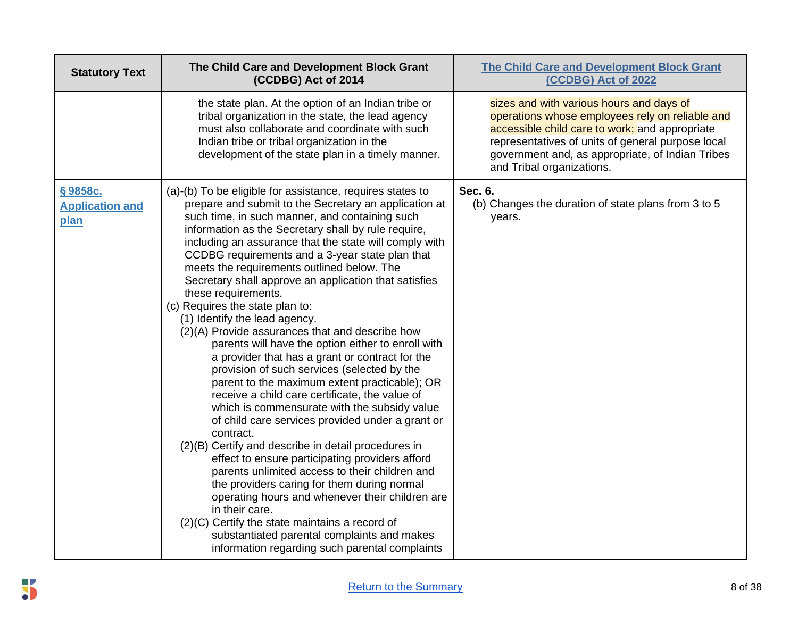| <b>Statutory Text</b>                     | The Child Care and Development Block Grant<br>(CCDBG) Act of 2014                                                                                                                                                                                                                                                                                                                                                                                                                                                                                                                                                                                                                                                                                                                                                                                                                                                                                                                                                                                                                                                                                                                                                                                                                                                                                                                                            | <b>The Child Care and Development Block Grant</b><br>(CCDBG) Act of 2022                                                                                                                                                                                                            |
|-------------------------------------------|--------------------------------------------------------------------------------------------------------------------------------------------------------------------------------------------------------------------------------------------------------------------------------------------------------------------------------------------------------------------------------------------------------------------------------------------------------------------------------------------------------------------------------------------------------------------------------------------------------------------------------------------------------------------------------------------------------------------------------------------------------------------------------------------------------------------------------------------------------------------------------------------------------------------------------------------------------------------------------------------------------------------------------------------------------------------------------------------------------------------------------------------------------------------------------------------------------------------------------------------------------------------------------------------------------------------------------------------------------------------------------------------------------------|-------------------------------------------------------------------------------------------------------------------------------------------------------------------------------------------------------------------------------------------------------------------------------------|
|                                           | the state plan. At the option of an Indian tribe or<br>tribal organization in the state, the lead agency<br>must also collaborate and coordinate with such<br>Indian tribe or tribal organization in the<br>development of the state plan in a timely manner.                                                                                                                                                                                                                                                                                                                                                                                                                                                                                                                                                                                                                                                                                                                                                                                                                                                                                                                                                                                                                                                                                                                                                | sizes and with various hours and days of<br>operations whose employees rely on reliable and<br>accessible child care to work; and appropriate<br>representatives of units of general purpose local<br>government and, as appropriate, of Indian Tribes<br>and Tribal organizations. |
| §9858c.<br><b>Application and</b><br>plan | (a)-(b) To be eligible for assistance, requires states to<br>prepare and submit to the Secretary an application at<br>such time, in such manner, and containing such<br>information as the Secretary shall by rule require,<br>including an assurance that the state will comply with<br>CCDBG requirements and a 3-year state plan that<br>meets the requirements outlined below. The<br>Secretary shall approve an application that satisfies<br>these requirements.<br>(c) Requires the state plan to:<br>(1) Identify the lead agency.<br>(2)(A) Provide assurances that and describe how<br>parents will have the option either to enroll with<br>a provider that has a grant or contract for the<br>provision of such services (selected by the<br>parent to the maximum extent practicable); OR<br>receive a child care certificate, the value of<br>which is commensurate with the subsidy value<br>of child care services provided under a grant or<br>contract.<br>(2)(B) Certify and describe in detail procedures in<br>effect to ensure participating providers afford<br>parents unlimited access to their children and<br>the providers caring for them during normal<br>operating hours and whenever their children are<br>in their care.<br>(2)(C) Certify the state maintains a record of<br>substantiated parental complaints and makes<br>information regarding such parental complaints | Sec. 6.<br>(b) Changes the duration of state plans from 3 to 5<br>years.                                                                                                                                                                                                            |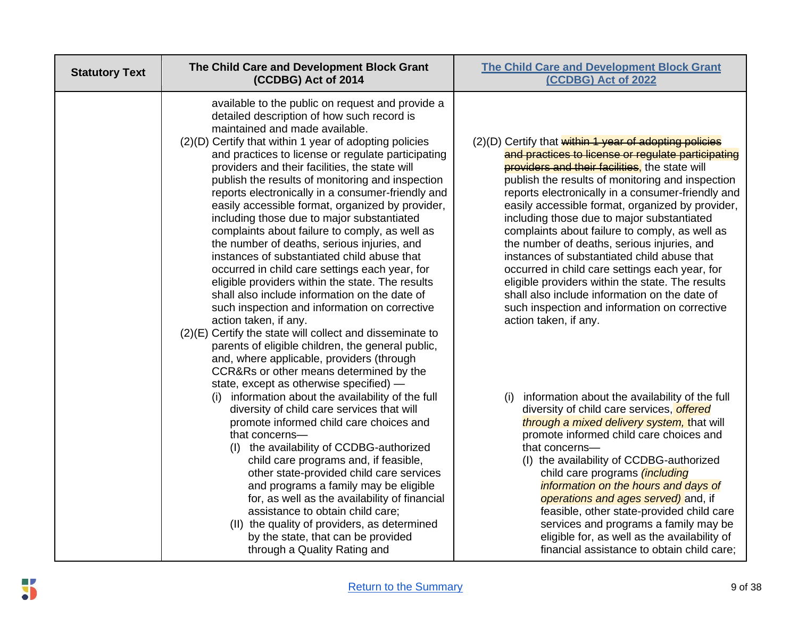| <b>Statutory Text</b> | The Child Care and Development Block Grant<br>(CCDBG) Act of 2014                                                                                                                                                                                                                                                                                                                                                                                                                                                                                                                                                                                                                                                                                                                                                                                                                                                                                                                                                                                                                                                                                  | <b>The Child Care and Development Block Grant</b><br>(CCDBG) Act of 2022                                                                                                                                                                                                                                                                                                                                                                                                                                                                                                                                                                                                                                                                                           |
|-----------------------|----------------------------------------------------------------------------------------------------------------------------------------------------------------------------------------------------------------------------------------------------------------------------------------------------------------------------------------------------------------------------------------------------------------------------------------------------------------------------------------------------------------------------------------------------------------------------------------------------------------------------------------------------------------------------------------------------------------------------------------------------------------------------------------------------------------------------------------------------------------------------------------------------------------------------------------------------------------------------------------------------------------------------------------------------------------------------------------------------------------------------------------------------|--------------------------------------------------------------------------------------------------------------------------------------------------------------------------------------------------------------------------------------------------------------------------------------------------------------------------------------------------------------------------------------------------------------------------------------------------------------------------------------------------------------------------------------------------------------------------------------------------------------------------------------------------------------------------------------------------------------------------------------------------------------------|
|                       | available to the public on request and provide a<br>detailed description of how such record is<br>maintained and made available.<br>(2)(D) Certify that within 1 year of adopting policies<br>and practices to license or regulate participating<br>providers and their facilities, the state will<br>publish the results of monitoring and inspection<br>reports electronically in a consumer-friendly and<br>easily accessible format, organized by provider,<br>including those due to major substantiated<br>complaints about failure to comply, as well as<br>the number of deaths, serious injuries, and<br>instances of substantiated child abuse that<br>occurred in child care settings each year, for<br>eligible providers within the state. The results<br>shall also include information on the date of<br>such inspection and information on corrective<br>action taken, if any.<br>(2)(E) Certify the state will collect and disseminate to<br>parents of eligible children, the general public,<br>and, where applicable, providers (through<br>CCR&Rs or other means determined by the<br>state, except as otherwise specified) - | (2)(D) Certify that within 1 year of adopting policies<br>and practices to license or regulate participating<br><b>providers and their facilities</b> , the state will<br>publish the results of monitoring and inspection<br>reports electronically in a consumer-friendly and<br>easily accessible format, organized by provider,<br>including those due to major substantiated<br>complaints about failure to comply, as well as<br>the number of deaths, serious injuries, and<br>instances of substantiated child abuse that<br>occurred in child care settings each year, for<br>eligible providers within the state. The results<br>shall also include information on the date of<br>such inspection and information on corrective<br>action taken, if any. |
|                       | (i) information about the availability of the full<br>diversity of child care services that will<br>promote informed child care choices and<br>that concerns-<br>(I) the availability of CCDBG-authorized<br>child care programs and, if feasible,<br>other state-provided child care services<br>and programs a family may be eligible<br>for, as well as the availability of financial<br>assistance to obtain child care;<br>(II) the quality of providers, as determined<br>by the state, that can be provided<br>through a Quality Rating and                                                                                                                                                                                                                                                                                                                                                                                                                                                                                                                                                                                                 | information about the availability of the full<br>(i)<br>diversity of child care services, offered<br>through a mixed delivery system, that will<br>promote informed child care choices and<br>that concerns-<br>(I) the availability of CCDBG-authorized<br>child care programs <i>(including</i><br>information on the hours and days of<br>operations and ages served) and, if<br>feasible, other state-provided child care<br>services and programs a family may be<br>eligible for, as well as the availability of<br>financial assistance to obtain child care;                                                                                                                                                                                              |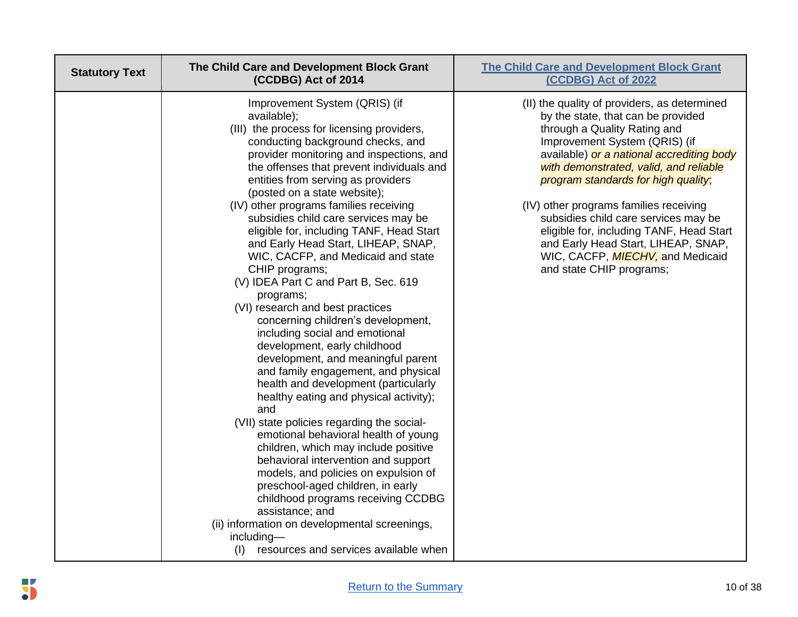| <b>Statutory Text</b> | The Child Care and Development Block Grant<br>(CCDBG) Act of 2014                                                                                                                                                                                                                                                                                                                                                                                                                                                                                                                                                                                                                                                                                                                                                                                                                                                                                                                                                                                                                                                                                                                                                                                                                                                            | <b>The Child Care and Development Block Grant</b><br>(CCDBG) Act of 2022                                                                                                                                                                                                                                                                                                                                                                                                                                                       |
|-----------------------|------------------------------------------------------------------------------------------------------------------------------------------------------------------------------------------------------------------------------------------------------------------------------------------------------------------------------------------------------------------------------------------------------------------------------------------------------------------------------------------------------------------------------------------------------------------------------------------------------------------------------------------------------------------------------------------------------------------------------------------------------------------------------------------------------------------------------------------------------------------------------------------------------------------------------------------------------------------------------------------------------------------------------------------------------------------------------------------------------------------------------------------------------------------------------------------------------------------------------------------------------------------------------------------------------------------------------|--------------------------------------------------------------------------------------------------------------------------------------------------------------------------------------------------------------------------------------------------------------------------------------------------------------------------------------------------------------------------------------------------------------------------------------------------------------------------------------------------------------------------------|
|                       | Improvement System (QRIS) (if<br>available);<br>(III) the process for licensing providers,<br>conducting background checks, and<br>provider monitoring and inspections, and<br>the offenses that prevent individuals and<br>entities from serving as providers<br>(posted on a state website);<br>(IV) other programs families receiving<br>subsidies child care services may be<br>eligible for, including TANF, Head Start<br>and Early Head Start, LIHEAP, SNAP,<br>WIC, CACFP, and Medicaid and state<br>CHIP programs;<br>(V) IDEA Part C and Part B, Sec. 619<br>programs;<br>(VI) research and best practices<br>concerning children's development,<br>including social and emotional<br>development, early childhood<br>development, and meaningful parent<br>and family engagement, and physical<br>health and development (particularly<br>healthy eating and physical activity);<br>and<br>(VII) state policies regarding the social-<br>emotional behavioral health of young<br>children, which may include positive<br>behavioral intervention and support<br>models, and policies on expulsion of<br>preschool-aged children, in early<br>childhood programs receiving CCDBG<br>assistance; and<br>(ii) information on developmental screenings,<br>including-<br>resources and services available when<br>(I) | (II) the quality of providers, as determined<br>by the state, that can be provided<br>through a Quality Rating and<br>Improvement System (QRIS) (if<br>available) or a national accrediting body<br>with demonstrated, valid, and reliable<br>program standards for high quality;<br>(IV) other programs families receiving<br>subsidies child care services may be<br>eligible for, including TANF, Head Start<br>and Early Head Start, LIHEAP, SNAP,<br>WIC, CACFP, <i>MIECHV</i> , and Medicaid<br>and state CHIP programs; |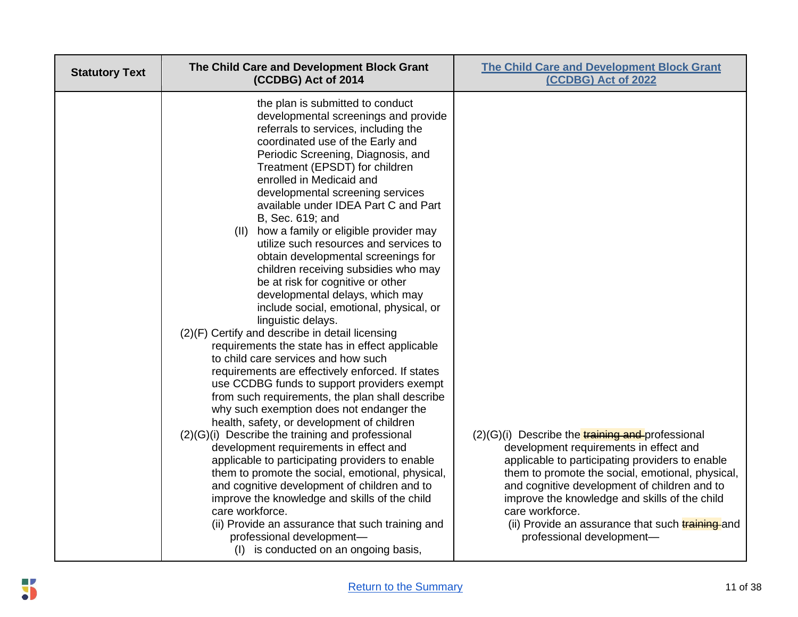| <b>Statutory Text</b> | The Child Care and Development Block Grant<br>(CCDBG) Act of 2014                                                                                                                                                                                                                                                                                                                                                                                                                                                                                                                                                                                                                                                                                                                                                                                                                                                                                                                                                                                                                                                                                                                                                                                                                                                                                                                                                                                                                                                           | <b>The Child Care and Development Block Grant</b><br>(CCDBG) Act of 2022                                                                                                                                                                                                                                                                                                                                        |
|-----------------------|-----------------------------------------------------------------------------------------------------------------------------------------------------------------------------------------------------------------------------------------------------------------------------------------------------------------------------------------------------------------------------------------------------------------------------------------------------------------------------------------------------------------------------------------------------------------------------------------------------------------------------------------------------------------------------------------------------------------------------------------------------------------------------------------------------------------------------------------------------------------------------------------------------------------------------------------------------------------------------------------------------------------------------------------------------------------------------------------------------------------------------------------------------------------------------------------------------------------------------------------------------------------------------------------------------------------------------------------------------------------------------------------------------------------------------------------------------------------------------------------------------------------------------|-----------------------------------------------------------------------------------------------------------------------------------------------------------------------------------------------------------------------------------------------------------------------------------------------------------------------------------------------------------------------------------------------------------------|
|                       | the plan is submitted to conduct<br>developmental screenings and provide<br>referrals to services, including the<br>coordinated use of the Early and<br>Periodic Screening, Diagnosis, and<br>Treatment (EPSDT) for children<br>enrolled in Medicaid and<br>developmental screening services<br>available under IDEA Part C and Part<br>B, Sec. 619; and<br>how a family or eligible provider may<br>(11)<br>utilize such resources and services to<br>obtain developmental screenings for<br>children receiving subsidies who may<br>be at risk for cognitive or other<br>developmental delays, which may<br>include social, emotional, physical, or<br>linguistic delays.<br>(2)(F) Certify and describe in detail licensing<br>requirements the state has in effect applicable<br>to child care services and how such<br>requirements are effectively enforced. If states<br>use CCDBG funds to support providers exempt<br>from such requirements, the plan shall describe<br>why such exemption does not endanger the<br>health, safety, or development of children<br>(2)(G)(i) Describe the training and professional<br>development requirements in effect and<br>applicable to participating providers to enable<br>them to promote the social, emotional, physical,<br>and cognitive development of children and to<br>improve the knowledge and skills of the child<br>care workforce.<br>(ii) Provide an assurance that such training and<br>professional development-<br>(I) is conducted on an ongoing basis, | $(2)(G)(i)$ Describe the <b>training and</b> professional<br>development requirements in effect and<br>applicable to participating providers to enable<br>them to promote the social, emotional, physical,<br>and cognitive development of children and to<br>improve the knowledge and skills of the child<br>care workforce.<br>(ii) Provide an assurance that such training and<br>professional development- |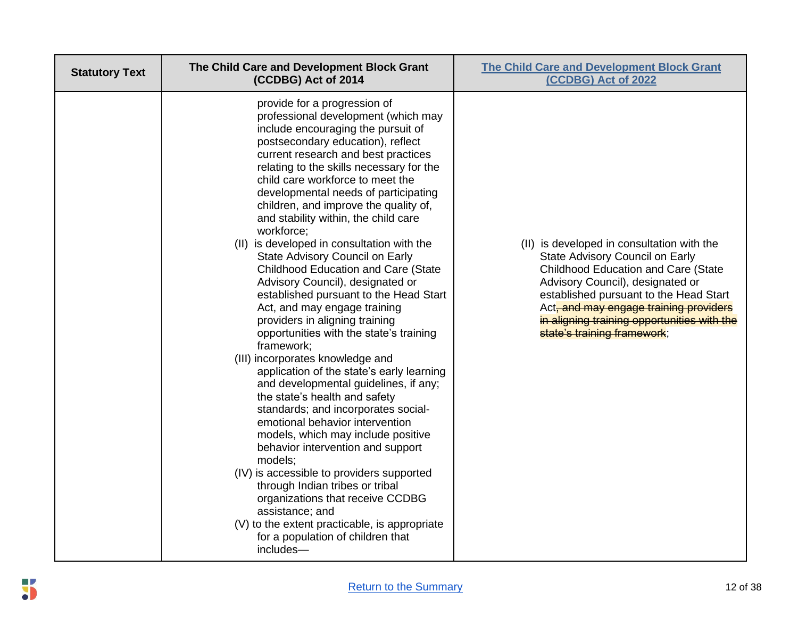| <b>Statutory Text</b> | The Child Care and Development Block Grant<br>(CCDBG) Act of 2014                                                                                                                                                                                                                                                                                                                                                                                                                                                                                                                                                                                                                                                                                                                                                                                                                                                                                                                                                                                                                                                                                                                                                                                                                                                         | <b>The Child Care and Development Block Grant</b><br>(CCDBG) Act of 2022                                                                                                                                                                                                                                                          |
|-----------------------|---------------------------------------------------------------------------------------------------------------------------------------------------------------------------------------------------------------------------------------------------------------------------------------------------------------------------------------------------------------------------------------------------------------------------------------------------------------------------------------------------------------------------------------------------------------------------------------------------------------------------------------------------------------------------------------------------------------------------------------------------------------------------------------------------------------------------------------------------------------------------------------------------------------------------------------------------------------------------------------------------------------------------------------------------------------------------------------------------------------------------------------------------------------------------------------------------------------------------------------------------------------------------------------------------------------------------|-----------------------------------------------------------------------------------------------------------------------------------------------------------------------------------------------------------------------------------------------------------------------------------------------------------------------------------|
|                       | provide for a progression of<br>professional development (which may<br>include encouraging the pursuit of<br>postsecondary education), reflect<br>current research and best practices<br>relating to the skills necessary for the<br>child care workforce to meet the<br>developmental needs of participating<br>children, and improve the quality of,<br>and stability within, the child care<br>workforce;<br>(II) is developed in consultation with the<br>State Advisory Council on Early<br><b>Childhood Education and Care (State</b><br>Advisory Council), designated or<br>established pursuant to the Head Start<br>Act, and may engage training<br>providers in aligning training<br>opportunities with the state's training<br>framework;<br>(III) incorporates knowledge and<br>application of the state's early learning<br>and developmental guidelines, if any;<br>the state's health and safety<br>standards; and incorporates social-<br>emotional behavior intervention<br>models, which may include positive<br>behavior intervention and support<br>models;<br>(IV) is accessible to providers supported<br>through Indian tribes or tribal<br>organizations that receive CCDBG<br>assistance; and<br>(V) to the extent practicable, is appropriate<br>for a population of children that<br>includes- | (II) is developed in consultation with the<br>State Advisory Council on Early<br><b>Childhood Education and Care (State</b><br>Advisory Council), designated or<br>established pursuant to the Head Start<br>Act, and may engage training providers<br>in aligning training opportunities with the<br>state's training framework; |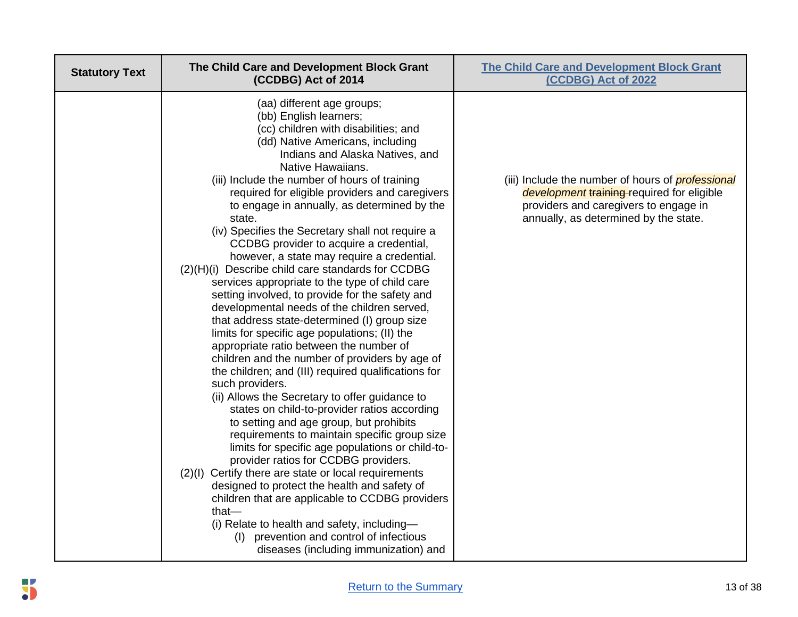| <b>Statutory Text</b> | The Child Care and Development Block Grant<br>(CCDBG) Act of 2014                                                                                                                                                                                                                                                                                                                                                                                                                                                                                                                                                                                                                                                                                                                                                                                                                                                                                                                                                                                                                                                                                                                                                                                                                                                                                                                                                                                                                                                                                                                      | <b>The Child Care and Development Block Grant</b><br>(CCDBG) Act of 2022                                                                                                                 |
|-----------------------|----------------------------------------------------------------------------------------------------------------------------------------------------------------------------------------------------------------------------------------------------------------------------------------------------------------------------------------------------------------------------------------------------------------------------------------------------------------------------------------------------------------------------------------------------------------------------------------------------------------------------------------------------------------------------------------------------------------------------------------------------------------------------------------------------------------------------------------------------------------------------------------------------------------------------------------------------------------------------------------------------------------------------------------------------------------------------------------------------------------------------------------------------------------------------------------------------------------------------------------------------------------------------------------------------------------------------------------------------------------------------------------------------------------------------------------------------------------------------------------------------------------------------------------------------------------------------------------|------------------------------------------------------------------------------------------------------------------------------------------------------------------------------------------|
|                       | (aa) different age groups;<br>(bb) English learners;<br>(cc) children with disabilities; and<br>(dd) Native Americans, including<br>Indians and Alaska Natives, and<br>Native Hawaiians.<br>(iii) Include the number of hours of training<br>required for eligible providers and caregivers<br>to engage in annually, as determined by the<br>state.<br>(iv) Specifies the Secretary shall not require a<br>CCDBG provider to acquire a credential,<br>however, a state may require a credential.<br>(2)(H)(i) Describe child care standards for CCDBG<br>services appropriate to the type of child care<br>setting involved, to provide for the safety and<br>developmental needs of the children served,<br>that address state-determined (I) group size<br>limits for specific age populations; (II) the<br>appropriate ratio between the number of<br>children and the number of providers by age of<br>the children; and (III) required qualifications for<br>such providers.<br>(ii) Allows the Secretary to offer guidance to<br>states on child-to-provider ratios according<br>to setting and age group, but prohibits<br>requirements to maintain specific group size<br>limits for specific age populations or child-to-<br>provider ratios for CCDBG providers.<br>(2)(I) Certify there are state or local requirements<br>designed to protect the health and safety of<br>children that are applicable to CCDBG providers<br>that $-$<br>(i) Relate to health and safety, including-<br>(I) prevention and control of infectious<br>diseases (including immunization) and | (iii) Include the number of hours of <i>professional</i><br>development training-required for eligible<br>providers and caregivers to engage in<br>annually, as determined by the state. |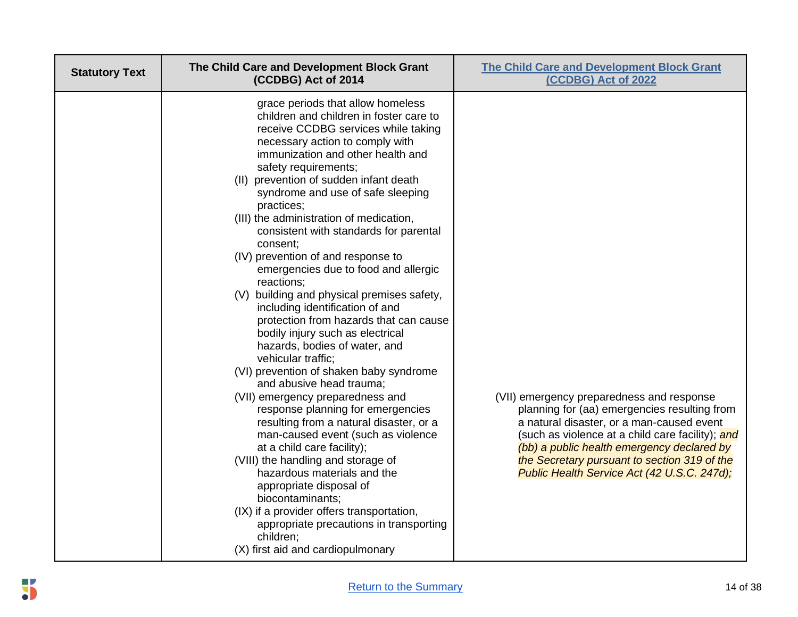| <b>Statutory Text</b> | The Child Care and Development Block Grant<br>(CCDBG) Act of 2014                                                                                                                                                                                                                                                                                                                                                                                                                                                                                                                                                                                                                                                                                                                                                                                                                                                                                                                                                                                                                                                                                                                                                                                                | <b>The Child Care and Development Block Grant</b><br>(CCDBG) Act of 2022                                                                                                                                                                                                                                                                |
|-----------------------|------------------------------------------------------------------------------------------------------------------------------------------------------------------------------------------------------------------------------------------------------------------------------------------------------------------------------------------------------------------------------------------------------------------------------------------------------------------------------------------------------------------------------------------------------------------------------------------------------------------------------------------------------------------------------------------------------------------------------------------------------------------------------------------------------------------------------------------------------------------------------------------------------------------------------------------------------------------------------------------------------------------------------------------------------------------------------------------------------------------------------------------------------------------------------------------------------------------------------------------------------------------|-----------------------------------------------------------------------------------------------------------------------------------------------------------------------------------------------------------------------------------------------------------------------------------------------------------------------------------------|
|                       | grace periods that allow homeless<br>children and children in foster care to<br>receive CCDBG services while taking<br>necessary action to comply with<br>immunization and other health and<br>safety requirements;<br>(II) prevention of sudden infant death<br>syndrome and use of safe sleeping<br>practices;<br>(III) the administration of medication,<br>consistent with standards for parental<br>consent;<br>(IV) prevention of and response to<br>emergencies due to food and allergic<br>reactions;<br>(V) building and physical premises safety,<br>including identification of and<br>protection from hazards that can cause<br>bodily injury such as electrical<br>hazards, bodies of water, and<br>vehicular traffic;<br>(VI) prevention of shaken baby syndrome<br>and abusive head trauma;<br>(VII) emergency preparedness and<br>response planning for emergencies<br>resulting from a natural disaster, or a<br>man-caused event (such as violence<br>at a child care facility);<br>(VIII) the handling and storage of<br>hazardous materials and the<br>appropriate disposal of<br>biocontaminants;<br>(IX) if a provider offers transportation,<br>appropriate precautions in transporting<br>children;<br>(X) first aid and cardiopulmonary | (VII) emergency preparedness and response<br>planning for (aa) emergencies resulting from<br>a natural disaster, or a man-caused event<br>(such as violence at a child care facility); and<br>(bb) a public health emergency declared by<br>the Secretary pursuant to section 319 of the<br>Public Health Service Act (42 U.S.C. 247d); |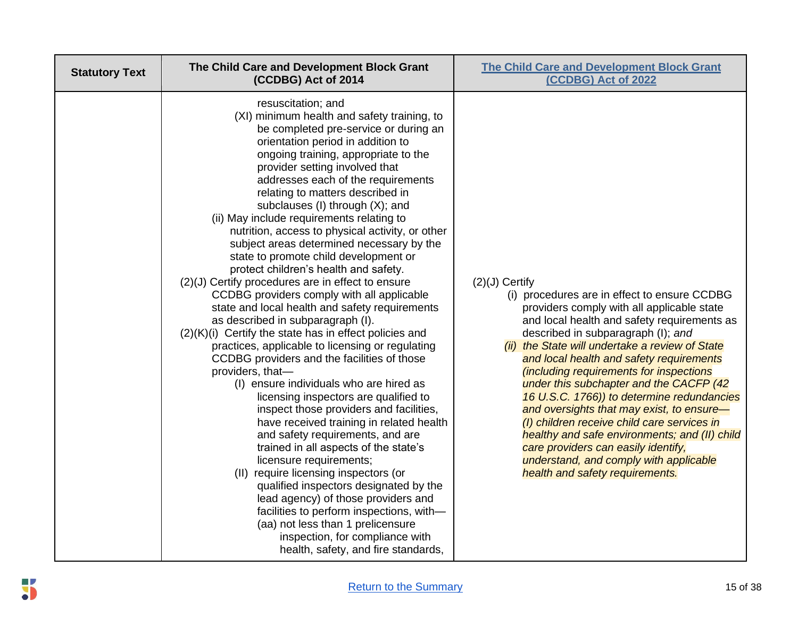| <b>Statutory Text</b> | The Child Care and Development Block Grant<br>(CCDBG) Act of 2014                                                                                                                                                                                                                                                                                                                                                                                                                                                                                                                                                                                                                                                                                                                                                                                                                                                                                                                                                                                                                                                                                                                                                                                                                                                                                                                                                                                                                                                         | <b>The Child Care and Development Block Grant</b><br>(CCDBG) Act of 2022                                                                                                                                                                                                                                                                                                                                                                                                                                                                                                                                                                                                                                |
|-----------------------|---------------------------------------------------------------------------------------------------------------------------------------------------------------------------------------------------------------------------------------------------------------------------------------------------------------------------------------------------------------------------------------------------------------------------------------------------------------------------------------------------------------------------------------------------------------------------------------------------------------------------------------------------------------------------------------------------------------------------------------------------------------------------------------------------------------------------------------------------------------------------------------------------------------------------------------------------------------------------------------------------------------------------------------------------------------------------------------------------------------------------------------------------------------------------------------------------------------------------------------------------------------------------------------------------------------------------------------------------------------------------------------------------------------------------------------------------------------------------------------------------------------------------|---------------------------------------------------------------------------------------------------------------------------------------------------------------------------------------------------------------------------------------------------------------------------------------------------------------------------------------------------------------------------------------------------------------------------------------------------------------------------------------------------------------------------------------------------------------------------------------------------------------------------------------------------------------------------------------------------------|
|                       | resuscitation; and<br>(XI) minimum health and safety training, to<br>be completed pre-service or during an<br>orientation period in addition to<br>ongoing training, appropriate to the<br>provider setting involved that<br>addresses each of the requirements<br>relating to matters described in<br>subclauses (I) through (X); and<br>(ii) May include requirements relating to<br>nutrition, access to physical activity, or other<br>subject areas determined necessary by the<br>state to promote child development or<br>protect children's health and safety.<br>(2)(J) Certify procedures are in effect to ensure<br>CCDBG providers comply with all applicable<br>state and local health and safety requirements<br>as described in subparagraph (I).<br>(2)(K)(i) Certify the state has in effect policies and<br>practices, applicable to licensing or regulating<br>CCDBG providers and the facilities of those<br>providers, that-<br>(I) ensure individuals who are hired as<br>licensing inspectors are qualified to<br>inspect those providers and facilities,<br>have received training in related health<br>and safety requirements, and are<br>trained in all aspects of the state's<br>licensure requirements;<br>(II) require licensing inspectors (or<br>qualified inspectors designated by the<br>lead agency) of those providers and<br>facilities to perform inspections, with-<br>(aa) not less than 1 prelicensure<br>inspection, for compliance with<br>health, safety, and fire standards, | $(2)(J)$ Certify<br>(i) procedures are in effect to ensure CCDBG<br>providers comply with all applicable state<br>and local health and safety requirements as<br>described in subparagraph (I); and<br>(ii) the State will undertake a review of State<br>and local health and safety requirements<br>(including requirements for inspections<br>under this subchapter and the CACFP (42<br>16 U.S.C. 1766)) to determine redundancies<br>and oversights that may exist, to ensure-<br>(I) children receive child care services in<br>healthy and safe environments; and (II) child<br>care providers can easily identify,<br>understand, and comply with applicable<br>health and safety requirements. |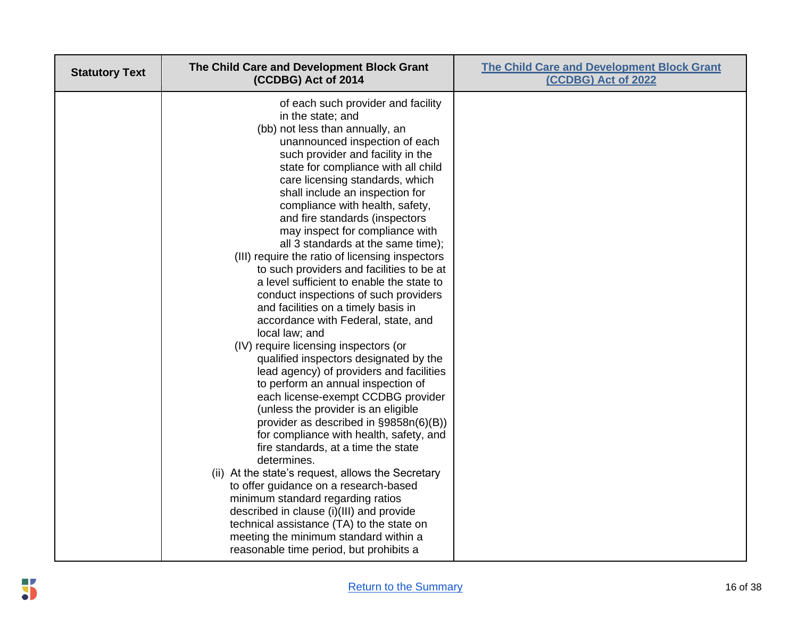| <b>Statutory Text</b> | The Child Care and Development Block Grant<br>(CCDBG) Act of 2014                                                                                                                                                                                                                                                                                                                                                                                                                                                                                                                                                                                                                                                                                                                                                                                                                                                                                                                                                                                                                                                                                                                                                                                                                                                                                                                                                               | <b>The Child Care and Development Block Grant</b><br>(CCDBG) Act of 2022 |
|-----------------------|---------------------------------------------------------------------------------------------------------------------------------------------------------------------------------------------------------------------------------------------------------------------------------------------------------------------------------------------------------------------------------------------------------------------------------------------------------------------------------------------------------------------------------------------------------------------------------------------------------------------------------------------------------------------------------------------------------------------------------------------------------------------------------------------------------------------------------------------------------------------------------------------------------------------------------------------------------------------------------------------------------------------------------------------------------------------------------------------------------------------------------------------------------------------------------------------------------------------------------------------------------------------------------------------------------------------------------------------------------------------------------------------------------------------------------|--------------------------------------------------------------------------|
|                       | of each such provider and facility<br>in the state; and<br>(bb) not less than annually, an<br>unannounced inspection of each<br>such provider and facility in the<br>state for compliance with all child<br>care licensing standards, which<br>shall include an inspection for<br>compliance with health, safety,<br>and fire standards (inspectors<br>may inspect for compliance with<br>all 3 standards at the same time);<br>(III) require the ratio of licensing inspectors<br>to such providers and facilities to be at<br>a level sufficient to enable the state to<br>conduct inspections of such providers<br>and facilities on a timely basis in<br>accordance with Federal, state, and<br>local law; and<br>(IV) require licensing inspectors (or<br>qualified inspectors designated by the<br>lead agency) of providers and facilities<br>to perform an annual inspection of<br>each license-exempt CCDBG provider<br>(unless the provider is an eligible<br>provider as described in §9858n(6)(B))<br>for compliance with health, safety, and<br>fire standards, at a time the state<br>determines.<br>(ii) At the state's request, allows the Secretary<br>to offer guidance on a research-based<br>minimum standard regarding ratios<br>described in clause (i)(III) and provide<br>technical assistance (TA) to the state on<br>meeting the minimum standard within a<br>reasonable time period, but prohibits a |                                                                          |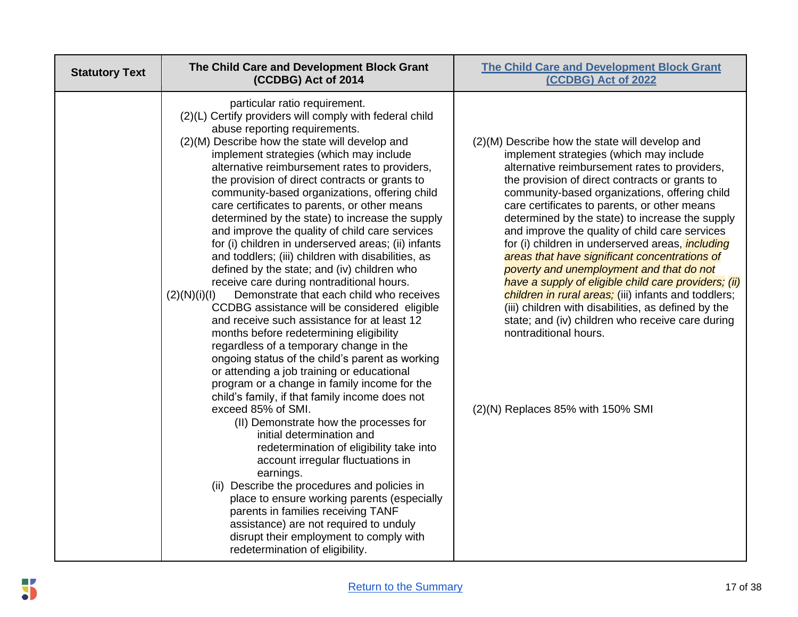| <b>Statutory Text</b> | The Child Care and Development Block Grant<br>(CCDBG) Act of 2014                                                                                                                                                                                                                                                                                                                                                                                                                                                                                                                                                                                                                                                                                                                                                                                                                                                                                                                                                                                                                                                                                                                                                                                                                                                                                                                                                                                                                                                                                                                                                                                    | <b>The Child Care and Development Block Grant</b><br>(CCDBG) Act of 2022                                                                                                                                                                                                                                                                                                                                                                                                                                                                                                                                                                                                                                                                                                                                                                              |
|-----------------------|------------------------------------------------------------------------------------------------------------------------------------------------------------------------------------------------------------------------------------------------------------------------------------------------------------------------------------------------------------------------------------------------------------------------------------------------------------------------------------------------------------------------------------------------------------------------------------------------------------------------------------------------------------------------------------------------------------------------------------------------------------------------------------------------------------------------------------------------------------------------------------------------------------------------------------------------------------------------------------------------------------------------------------------------------------------------------------------------------------------------------------------------------------------------------------------------------------------------------------------------------------------------------------------------------------------------------------------------------------------------------------------------------------------------------------------------------------------------------------------------------------------------------------------------------------------------------------------------------------------------------------------------------|-------------------------------------------------------------------------------------------------------------------------------------------------------------------------------------------------------------------------------------------------------------------------------------------------------------------------------------------------------------------------------------------------------------------------------------------------------------------------------------------------------------------------------------------------------------------------------------------------------------------------------------------------------------------------------------------------------------------------------------------------------------------------------------------------------------------------------------------------------|
|                       | particular ratio requirement.<br>(2)(L) Certify providers will comply with federal child<br>abuse reporting requirements.<br>(2)(M) Describe how the state will develop and<br>implement strategies (which may include<br>alternative reimbursement rates to providers,<br>the provision of direct contracts or grants to<br>community-based organizations, offering child<br>care certificates to parents, or other means<br>determined by the state) to increase the supply<br>and improve the quality of child care services<br>for (i) children in underserved areas; (ii) infants<br>and toddlers; (iii) children with disabilities, as<br>defined by the state; and (iv) children who<br>receive care during nontraditional hours.<br>Demonstrate that each child who receives<br>(2)(N)(i)(I)<br>CCDBG assistance will be considered eligible<br>and receive such assistance for at least 12<br>months before redetermining eligibility<br>regardless of a temporary change in the<br>ongoing status of the child's parent as working<br>or attending a job training or educational<br>program or a change in family income for the<br>child's family, if that family income does not<br>exceed 85% of SMI.<br>(II) Demonstrate how the processes for<br>initial determination and<br>redetermination of eligibility take into<br>account irregular fluctuations in<br>earnings.<br>(ii) Describe the procedures and policies in<br>place to ensure working parents (especially<br>parents in families receiving TANF<br>assistance) are not required to unduly<br>disrupt their employment to comply with<br>redetermination of eligibility. | (2)(M) Describe how the state will develop and<br>implement strategies (which may include<br>alternative reimbursement rates to providers,<br>the provision of direct contracts or grants to<br>community-based organizations, offering child<br>care certificates to parents, or other means<br>determined by the state) to increase the supply<br>and improve the quality of child care services<br>for (i) children in underserved areas, <i>including</i><br>areas that have significant concentrations of<br>poverty and unemployment and that do not<br>have a supply of eligible child care providers; (ii)<br>children in rural areas; (iii) infants and toddlers;<br>(iii) children with disabilities, as defined by the<br>state; and (iv) children who receive care during<br>nontraditional hours.<br>$(2)(N)$ Replaces 85% with 150% SMI |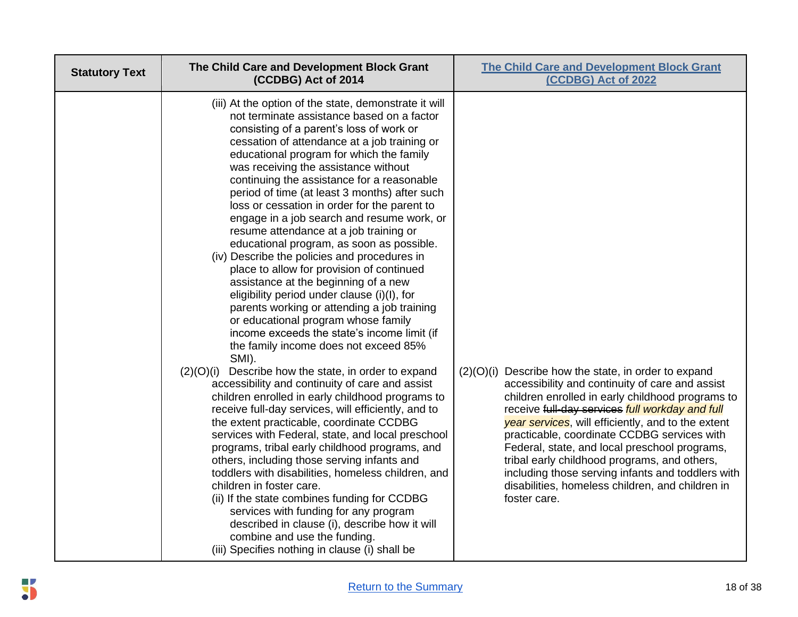| <b>Statutory Text</b> | The Child Care and Development Block Grant<br>(CCDBG) Act of 2014                                                                                                                                                                                                                                                                                                                                                                                                                                                                                                                                                                                                                                                                                                                                                                                                                                                                                                                                                                                                                                                                                                                                                                                                                                                                                                                                                                                                                                                                                                                                                                                                                           | <b>The Child Care and Development Block Grant</b><br>(CCDBG) Act of 2022                                                                                                                                                                                                                                                                                                                                                                                                                                                                        |
|-----------------------|---------------------------------------------------------------------------------------------------------------------------------------------------------------------------------------------------------------------------------------------------------------------------------------------------------------------------------------------------------------------------------------------------------------------------------------------------------------------------------------------------------------------------------------------------------------------------------------------------------------------------------------------------------------------------------------------------------------------------------------------------------------------------------------------------------------------------------------------------------------------------------------------------------------------------------------------------------------------------------------------------------------------------------------------------------------------------------------------------------------------------------------------------------------------------------------------------------------------------------------------------------------------------------------------------------------------------------------------------------------------------------------------------------------------------------------------------------------------------------------------------------------------------------------------------------------------------------------------------------------------------------------------------------------------------------------------|-------------------------------------------------------------------------------------------------------------------------------------------------------------------------------------------------------------------------------------------------------------------------------------------------------------------------------------------------------------------------------------------------------------------------------------------------------------------------------------------------------------------------------------------------|
|                       | (iii) At the option of the state, demonstrate it will<br>not terminate assistance based on a factor<br>consisting of a parent's loss of work or<br>cessation of attendance at a job training or<br>educational program for which the family<br>was receiving the assistance without<br>continuing the assistance for a reasonable<br>period of time (at least 3 months) after such<br>loss or cessation in order for the parent to<br>engage in a job search and resume work, or<br>resume attendance at a job training or<br>educational program, as soon as possible.<br>(iv) Describe the policies and procedures in<br>place to allow for provision of continued<br>assistance at the beginning of a new<br>eligibility period under clause (i)(I), for<br>parents working or attending a job training<br>or educational program whose family<br>income exceeds the state's income limit (if<br>the family income does not exceed 85%<br>SMI).<br>Describe how the state, in order to expand<br>(2)(O)(i)<br>accessibility and continuity of care and assist<br>children enrolled in early childhood programs to<br>receive full-day services, will efficiently, and to<br>the extent practicable, coordinate CCDBG<br>services with Federal, state, and local preschool<br>programs, tribal early childhood programs, and<br>others, including those serving infants and<br>toddlers with disabilities, homeless children, and<br>children in foster care.<br>(ii) If the state combines funding for CCDBG<br>services with funding for any program<br>described in clause (i), describe how it will<br>combine and use the funding.<br>(iii) Specifies nothing in clause (i) shall be | $(2)(O)(i)$ Describe how the state, in order to expand<br>accessibility and continuity of care and assist<br>children enrolled in early childhood programs to<br>receive full-day services full workday and full<br>year services, will efficiently, and to the extent<br>practicable, coordinate CCDBG services with<br>Federal, state, and local preschool programs,<br>tribal early childhood programs, and others,<br>including those serving infants and toddlers with<br>disabilities, homeless children, and children in<br>foster care. |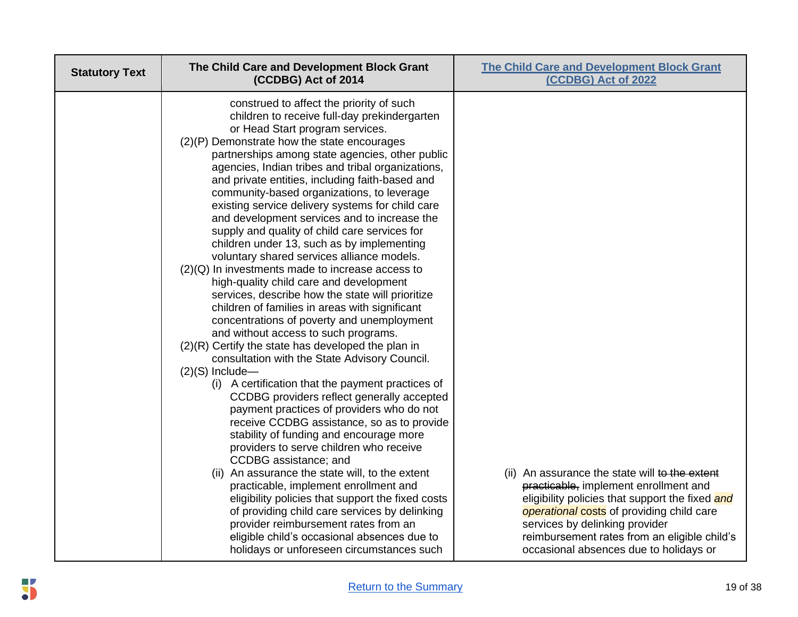| <b>Statutory Text</b> | The Child Care and Development Block Grant<br>(CCDBG) Act of 2014                                                                                                                                                                                                                                                                                                                                                                                                                                                                                                                                                                                                                                                                                                                                                                                                                                                                                                                                                                                                                                                                                                                                                                                                                                                                                                                                                                                                                                                                                                                                                                                                     | <b>The Child Care and Development Block Grant</b><br>(CCDBG) Act of 2022                                                                                                                                                                                                  |
|-----------------------|-----------------------------------------------------------------------------------------------------------------------------------------------------------------------------------------------------------------------------------------------------------------------------------------------------------------------------------------------------------------------------------------------------------------------------------------------------------------------------------------------------------------------------------------------------------------------------------------------------------------------------------------------------------------------------------------------------------------------------------------------------------------------------------------------------------------------------------------------------------------------------------------------------------------------------------------------------------------------------------------------------------------------------------------------------------------------------------------------------------------------------------------------------------------------------------------------------------------------------------------------------------------------------------------------------------------------------------------------------------------------------------------------------------------------------------------------------------------------------------------------------------------------------------------------------------------------------------------------------------------------------------------------------------------------|---------------------------------------------------------------------------------------------------------------------------------------------------------------------------------------------------------------------------------------------------------------------------|
|                       | construed to affect the priority of such<br>children to receive full-day prekindergarten<br>or Head Start program services.<br>(2)(P) Demonstrate how the state encourages<br>partnerships among state agencies, other public<br>agencies, Indian tribes and tribal organizations,<br>and private entities, including faith-based and<br>community-based organizations, to leverage<br>existing service delivery systems for child care<br>and development services and to increase the<br>supply and quality of child care services for<br>children under 13, such as by implementing<br>voluntary shared services alliance models.<br>$(2)(Q)$ In investments made to increase access to<br>high-quality child care and development<br>services, describe how the state will prioritize<br>children of families in areas with significant<br>concentrations of poverty and unemployment<br>and without access to such programs.<br>$(2)(R)$ Certify the state has developed the plan in<br>consultation with the State Advisory Council.<br>$(2)(S)$ Include-<br>(i) A certification that the payment practices of<br>CCDBG providers reflect generally accepted<br>payment practices of providers who do not<br>receive CCDBG assistance, so as to provide<br>stability of funding and encourage more<br>providers to serve children who receive<br>CCDBG assistance; and<br>(ii) An assurance the state will, to the extent<br>practicable, implement enrollment and<br>eligibility policies that support the fixed costs<br>of providing child care services by delinking<br>provider reimbursement rates from an<br>eligible child's occasional absences due to | (ii) An assurance the state will to the extent<br>practicable, implement enrollment and<br>eligibility policies that support the fixed and<br>operational costs of providing child care<br>services by delinking provider<br>reimbursement rates from an eligible child's |
|                       | holidays or unforeseen circumstances such                                                                                                                                                                                                                                                                                                                                                                                                                                                                                                                                                                                                                                                                                                                                                                                                                                                                                                                                                                                                                                                                                                                                                                                                                                                                                                                                                                                                                                                                                                                                                                                                                             | occasional absences due to holidays or                                                                                                                                                                                                                                    |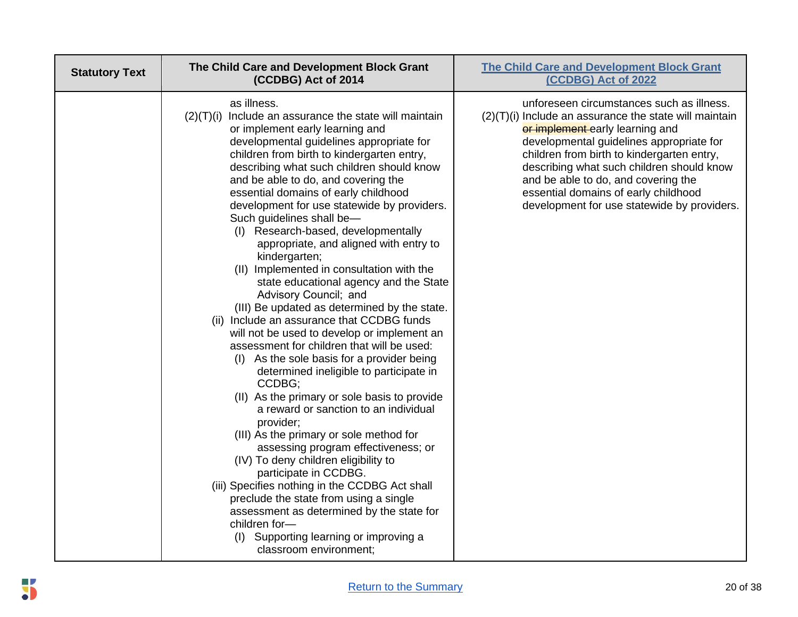| <b>Statutory Text</b> | The Child Care and Development Block Grant<br>(CCDBG) Act of 2014                                                                                                                                                                                                                                                                                                                                                                                                                                                                                                                                                                                                                                                                                                                                                                                                                                                                                                                                                                                                                                                                                                                                                                                                                                                                                                                                                    | <b>The Child Care and Development Block Grant</b><br>(CCDBG) Act of 2022                                                                                                                                                                                                                                                                                                                                      |
|-----------------------|----------------------------------------------------------------------------------------------------------------------------------------------------------------------------------------------------------------------------------------------------------------------------------------------------------------------------------------------------------------------------------------------------------------------------------------------------------------------------------------------------------------------------------------------------------------------------------------------------------------------------------------------------------------------------------------------------------------------------------------------------------------------------------------------------------------------------------------------------------------------------------------------------------------------------------------------------------------------------------------------------------------------------------------------------------------------------------------------------------------------------------------------------------------------------------------------------------------------------------------------------------------------------------------------------------------------------------------------------------------------------------------------------------------------|---------------------------------------------------------------------------------------------------------------------------------------------------------------------------------------------------------------------------------------------------------------------------------------------------------------------------------------------------------------------------------------------------------------|
|                       | as illness.<br>(2)(T)(i)<br>Include an assurance the state will maintain<br>or implement early learning and<br>developmental guidelines appropriate for<br>children from birth to kindergarten entry,<br>describing what such children should know<br>and be able to do, and covering the<br>essential domains of early childhood<br>development for use statewide by providers.<br>Such guidelines shall be-<br>(I) Research-based, developmentally<br>appropriate, and aligned with entry to<br>kindergarten;<br>(II) Implemented in consultation with the<br>state educational agency and the State<br>Advisory Council; and<br>(III) Be updated as determined by the state.<br>(ii) Include an assurance that CCDBG funds<br>will not be used to develop or implement an<br>assessment for children that will be used:<br>(I) As the sole basis for a provider being<br>determined ineligible to participate in<br>CCDBG;<br>(II) As the primary or sole basis to provide<br>a reward or sanction to an individual<br>provider;<br>(III) As the primary or sole method for<br>assessing program effectiveness; or<br>(IV) To deny children eligibility to<br>participate in CCDBG.<br>(iii) Specifies nothing in the CCDBG Act shall<br>preclude the state from using a single<br>assessment as determined by the state for<br>children for-<br>(I) Supporting learning or improving a<br>classroom environment; | unforeseen circumstances such as illness.<br>$(2)(T)(i)$ Include an assurance the state will maintain<br>or implement early learning and<br>developmental guidelines appropriate for<br>children from birth to kindergarten entry,<br>describing what such children should know<br>and be able to do, and covering the<br>essential domains of early childhood<br>development for use statewide by providers. |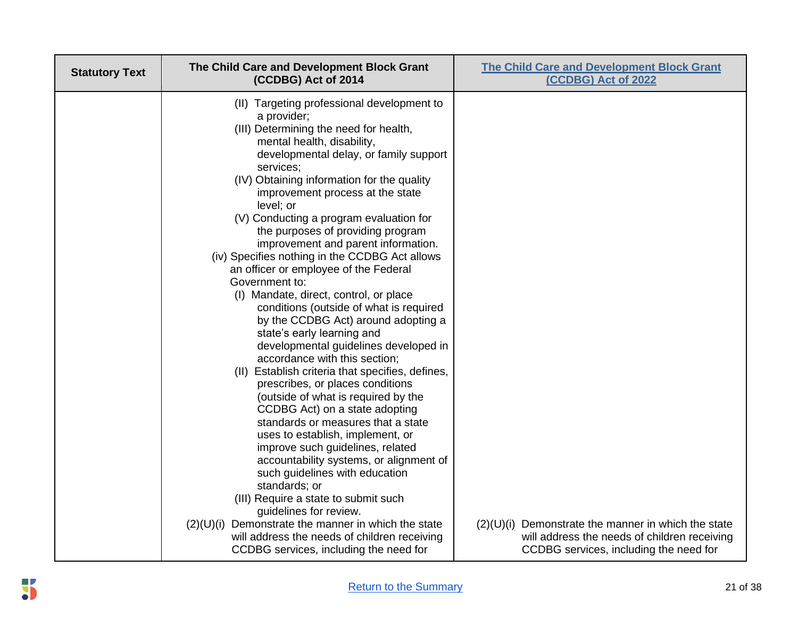| <b>Statutory Text</b> | The Child Care and Development Block Grant<br>(CCDBG) Act of 2014                                                                                                                                                                                                                                                                                                                                                                                                                                                                                                                                                                                                                                                                                                                                                                                                                                                                                                                                                                                                                                                                                                                                                                                                       | <b>The Child Care and Development Block Grant</b><br>(CCDBG) Act of 2022               |
|-----------------------|-------------------------------------------------------------------------------------------------------------------------------------------------------------------------------------------------------------------------------------------------------------------------------------------------------------------------------------------------------------------------------------------------------------------------------------------------------------------------------------------------------------------------------------------------------------------------------------------------------------------------------------------------------------------------------------------------------------------------------------------------------------------------------------------------------------------------------------------------------------------------------------------------------------------------------------------------------------------------------------------------------------------------------------------------------------------------------------------------------------------------------------------------------------------------------------------------------------------------------------------------------------------------|----------------------------------------------------------------------------------------|
|                       | (II) Targeting professional development to<br>a provider;<br>(III) Determining the need for health,<br>mental health, disability,<br>developmental delay, or family support<br>services;<br>(IV) Obtaining information for the quality<br>improvement process at the state<br>level; or<br>(V) Conducting a program evaluation for<br>the purposes of providing program<br>improvement and parent information.<br>(iv) Specifies nothing in the CCDBG Act allows<br>an officer or employee of the Federal<br>Government to:<br>(I) Mandate, direct, control, or place<br>conditions (outside of what is required<br>by the CCDBG Act) around adopting a<br>state's early learning and<br>developmental guidelines developed in<br>accordance with this section;<br>(II) Establish criteria that specifies, defines,<br>prescribes, or places conditions<br>(outside of what is required by the<br>CCDBG Act) on a state adopting<br>standards or measures that a state<br>uses to establish, implement, or<br>improve such guidelines, related<br>accountability systems, or alignment of<br>such guidelines with education<br>standards; or<br>(III) Require a state to submit such<br>guidelines for review.<br>$(2)(U)(i)$ Demonstrate the manner in which the state | $(2)(U)(i)$ Demonstrate the manner in which the state                                  |
|                       | will address the needs of children receiving<br>CCDBG services, including the need for                                                                                                                                                                                                                                                                                                                                                                                                                                                                                                                                                                                                                                                                                                                                                                                                                                                                                                                                                                                                                                                                                                                                                                                  | will address the needs of children receiving<br>CCDBG services, including the need for |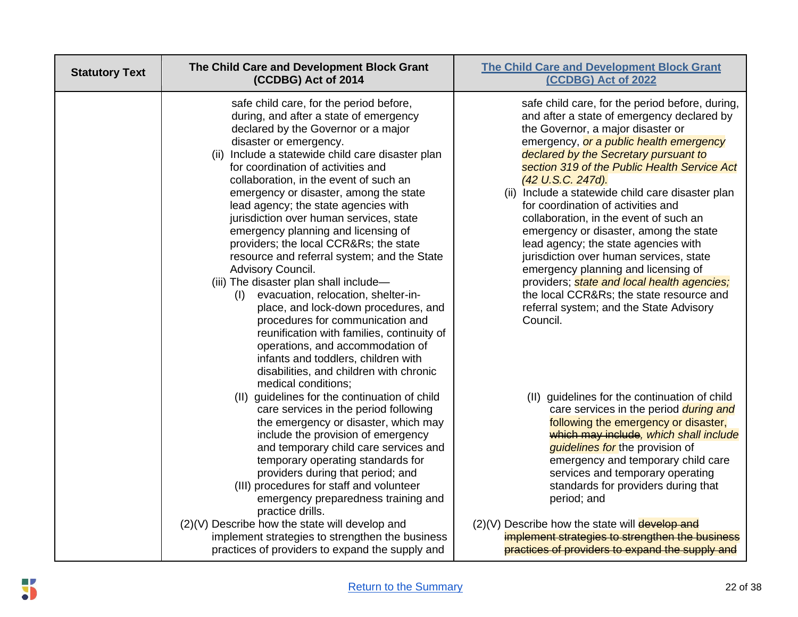| <b>Statutory Text</b> | The Child Care and Development Block Grant<br>(CCDBG) Act of 2014                                                                                                                                                                                                                                                                                                                                                                                                                                                                                                                                                                                                                                                                                                                                                                                                                                                                       | <b>The Child Care and Development Block Grant</b><br>(CCDBG) Act of 2022                                                                                                                                                                                                                                                                                                                                                                                                                                                                                                                                                                                                                                                                              |
|-----------------------|-----------------------------------------------------------------------------------------------------------------------------------------------------------------------------------------------------------------------------------------------------------------------------------------------------------------------------------------------------------------------------------------------------------------------------------------------------------------------------------------------------------------------------------------------------------------------------------------------------------------------------------------------------------------------------------------------------------------------------------------------------------------------------------------------------------------------------------------------------------------------------------------------------------------------------------------|-------------------------------------------------------------------------------------------------------------------------------------------------------------------------------------------------------------------------------------------------------------------------------------------------------------------------------------------------------------------------------------------------------------------------------------------------------------------------------------------------------------------------------------------------------------------------------------------------------------------------------------------------------------------------------------------------------------------------------------------------------|
|                       | safe child care, for the period before,<br>during, and after a state of emergency<br>declared by the Governor or a major<br>disaster or emergency.<br>(ii) Include a statewide child care disaster plan<br>for coordination of activities and<br>collaboration, in the event of such an<br>emergency or disaster, among the state<br>lead agency; the state agencies with<br>jurisdiction over human services, state<br>emergency planning and licensing of<br>providers; the local CCR&Rs the state<br>resource and referral system; and the State<br>Advisory Council.<br>(iii) The disaster plan shall include-<br>evacuation, relocation, shelter-in-<br>(I)<br>place, and lock-down procedures, and<br>procedures for communication and<br>reunification with families, continuity of<br>operations, and accommodation of<br>infants and toddlers, children with<br>disabilities, and children with chronic<br>medical conditions; | safe child care, for the period before, during,<br>and after a state of emergency declared by<br>the Governor, a major disaster or<br>emergency, or a public health emergency<br>declared by the Secretary pursuant to<br>section 319 of the Public Health Service Act<br>(42 U.S.C. 247d).<br>(ii) Include a statewide child care disaster plan<br>for coordination of activities and<br>collaboration, in the event of such an<br>emergency or disaster, among the state<br>lead agency; the state agencies with<br>jurisdiction over human services, state<br>emergency planning and licensing of<br>providers; state and local health agencies;<br>the local CCR&Rs the state resource and<br>referral system; and the State Advisory<br>Council. |
|                       | (II) guidelines for the continuation of child<br>care services in the period following<br>the emergency or disaster, which may<br>include the provision of emergency<br>and temporary child care services and<br>temporary operating standards for<br>providers during that period; and<br>(III) procedures for staff and volunteer<br>emergency preparedness training and<br>practice drills.                                                                                                                                                                                                                                                                                                                                                                                                                                                                                                                                          | (II) guidelines for the continuation of child<br>care services in the period <i>during and</i><br>following the emergency or disaster,<br>which may include, which shall include<br>guidelines for the provision of<br>emergency and temporary child care<br>services and temporary operating<br>standards for providers during that<br>period; and                                                                                                                                                                                                                                                                                                                                                                                                   |
|                       | (2)(V) Describe how the state will develop and<br>implement strategies to strengthen the business<br>practices of providers to expand the supply and                                                                                                                                                                                                                                                                                                                                                                                                                                                                                                                                                                                                                                                                                                                                                                                    | $(2)(V)$ Describe how the state will develop and<br>implement strategies to strengthen the business<br>practices of providers to expand the supply and                                                                                                                                                                                                                                                                                                                                                                                                                                                                                                                                                                                                |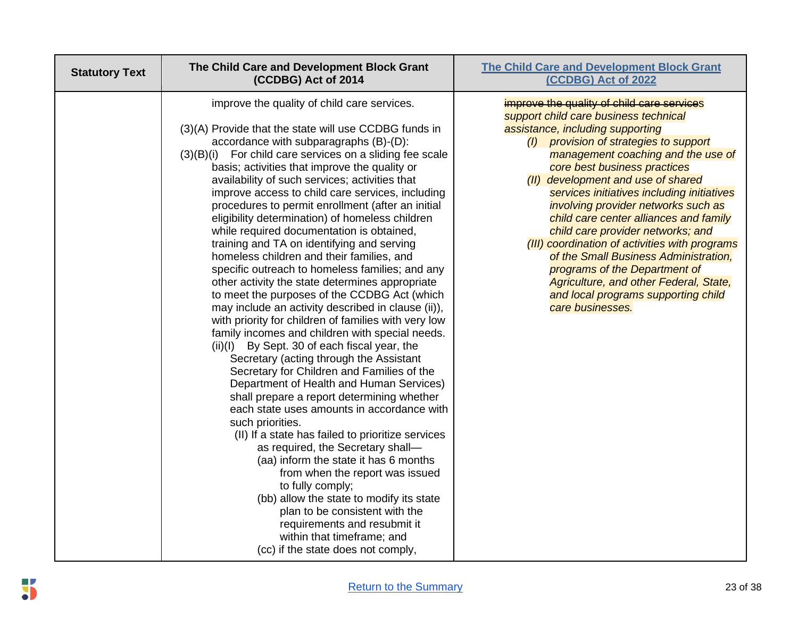| <b>Statutory Text</b> | The Child Care and Development Block Grant<br>(CCDBG) Act of 2014                                                                                                                                                                                                                                                                                                                                                                                                                                                                                                                                                                                                                                                                                                                                                                                                                                                                                                                                                                                                                                                                                                                                                                                                                                                                                                                                                                                                                                                                                                                                                             | <b>The Child Care and Development Block Grant</b><br>(CCDBG) Act of 2022                                                                                                                                                                                                                                                                                                                                                                                                                                                                                                                                                                                                           |
|-----------------------|-------------------------------------------------------------------------------------------------------------------------------------------------------------------------------------------------------------------------------------------------------------------------------------------------------------------------------------------------------------------------------------------------------------------------------------------------------------------------------------------------------------------------------------------------------------------------------------------------------------------------------------------------------------------------------------------------------------------------------------------------------------------------------------------------------------------------------------------------------------------------------------------------------------------------------------------------------------------------------------------------------------------------------------------------------------------------------------------------------------------------------------------------------------------------------------------------------------------------------------------------------------------------------------------------------------------------------------------------------------------------------------------------------------------------------------------------------------------------------------------------------------------------------------------------------------------------------------------------------------------------------|------------------------------------------------------------------------------------------------------------------------------------------------------------------------------------------------------------------------------------------------------------------------------------------------------------------------------------------------------------------------------------------------------------------------------------------------------------------------------------------------------------------------------------------------------------------------------------------------------------------------------------------------------------------------------------|
|                       | improve the quality of child care services.<br>(3)(A) Provide that the state will use CCDBG funds in<br>accordance with subparagraphs (B)-(D):<br>$(3)(B)(i)$ For child care services on a sliding fee scale<br>basis; activities that improve the quality or<br>availability of such services; activities that<br>improve access to child care services, including<br>procedures to permit enrollment (after an initial<br>eligibility determination) of homeless children<br>while required documentation is obtained,<br>training and TA on identifying and serving<br>homeless children and their families, and<br>specific outreach to homeless families; and any<br>other activity the state determines appropriate<br>to meet the purposes of the CCDBG Act (which<br>may include an activity described in clause (ii)),<br>with priority for children of families with very low<br>family incomes and children with special needs.<br>$(ii)(I)$ By Sept. 30 of each fiscal year, the<br>Secretary (acting through the Assistant<br>Secretary for Children and Families of the<br>Department of Health and Human Services)<br>shall prepare a report determining whether<br>each state uses amounts in accordance with<br>such priorities.<br>(II) If a state has failed to prioritize services<br>as required, the Secretary shall-<br>(aa) inform the state it has 6 months<br>from when the report was issued<br>to fully comply;<br>(bb) allow the state to modify its state<br>plan to be consistent with the<br>requirements and resubmit it<br>within that timeframe; and<br>(cc) if the state does not comply, | improve the quality of child care services<br>support child care business technical<br>assistance, including supporting<br>(I) provision of strategies to support<br>management coaching and the use of<br>core best business practices<br>(II) development and use of shared<br>services initiatives including initiatives<br>involving provider networks such as<br>child care center alliances and family<br>child care provider networks; and<br>(III) coordination of activities with programs<br>of the Small Business Administration,<br>programs of the Department of<br>Agriculture, and other Federal, State,<br>and local programs supporting child<br>care businesses. |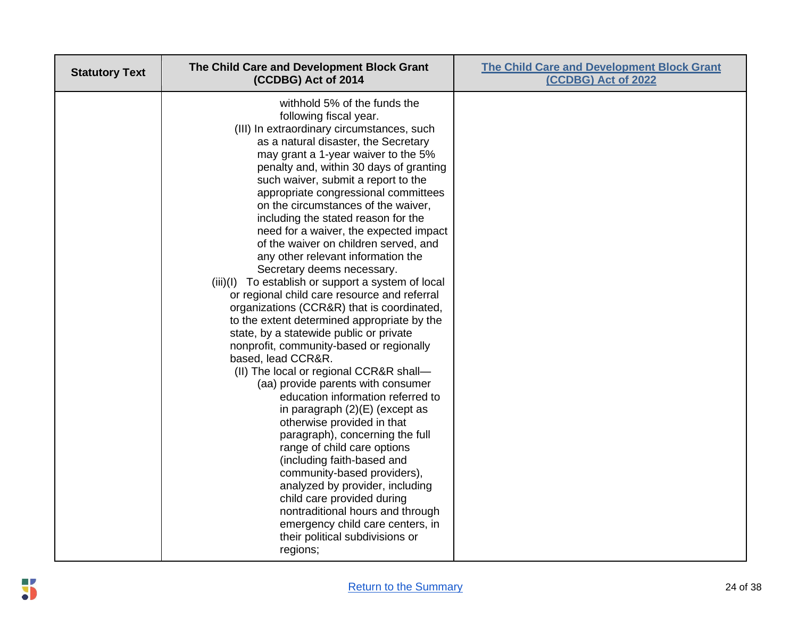| <b>Statutory Text</b> | The Child Care and Development Block Grant<br>(CCDBG) Act of 2014                                                                                                                                                                                                                                                                                                                                                                                                                                                                                                                                                                                                                                                                                                                                                                                                                                                                                                                                                                                                                                                                                                                                                                                                                                                                                                                 | <b>The Child Care and Development Block Grant</b><br>(CCDBG) Act of 2022 |
|-----------------------|-----------------------------------------------------------------------------------------------------------------------------------------------------------------------------------------------------------------------------------------------------------------------------------------------------------------------------------------------------------------------------------------------------------------------------------------------------------------------------------------------------------------------------------------------------------------------------------------------------------------------------------------------------------------------------------------------------------------------------------------------------------------------------------------------------------------------------------------------------------------------------------------------------------------------------------------------------------------------------------------------------------------------------------------------------------------------------------------------------------------------------------------------------------------------------------------------------------------------------------------------------------------------------------------------------------------------------------------------------------------------------------|--------------------------------------------------------------------------|
|                       | withhold 5% of the funds the<br>following fiscal year.<br>(III) In extraordinary circumstances, such<br>as a natural disaster, the Secretary<br>may grant a 1-year waiver to the 5%<br>penalty and, within 30 days of granting<br>such waiver, submit a report to the<br>appropriate congressional committees<br>on the circumstances of the waiver,<br>including the stated reason for the<br>need for a waiver, the expected impact<br>of the waiver on children served, and<br>any other relevant information the<br>Secretary deems necessary.<br>(iii)(I) To establish or support a system of local<br>or regional child care resource and referral<br>organizations (CCR&R) that is coordinated,<br>to the extent determined appropriate by the<br>state, by a statewide public or private<br>nonprofit, community-based or regionally<br>based, lead CCR&R.<br>(II) The local or regional CCR&R shall-<br>(aa) provide parents with consumer<br>education information referred to<br>in paragraph $(2)(E)$ (except as<br>otherwise provided in that<br>paragraph), concerning the full<br>range of child care options<br>(including faith-based and<br>community-based providers),<br>analyzed by provider, including<br>child care provided during<br>nontraditional hours and through<br>emergency child care centers, in<br>their political subdivisions or<br>regions; |                                                                          |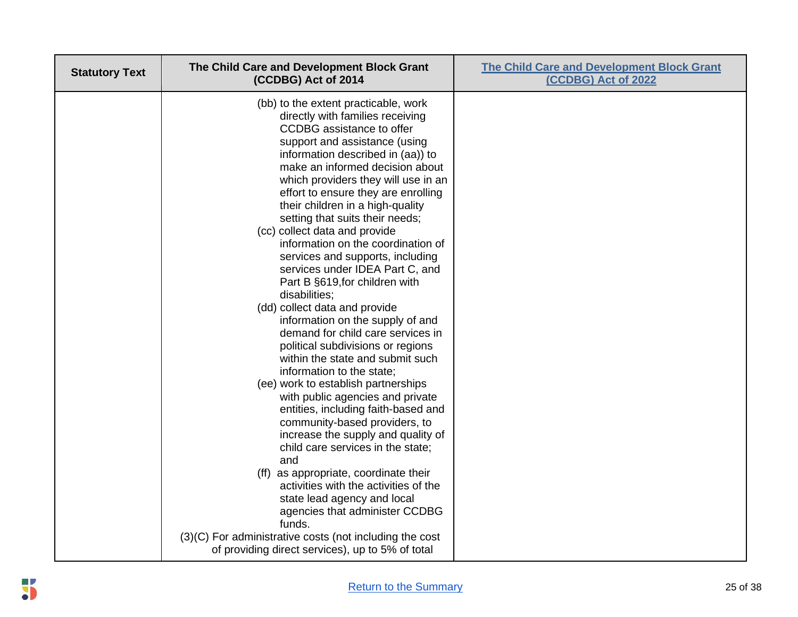| (bb) to the extent practicable, work<br>directly with families receiving<br>CCDBG assistance to offer<br>support and assistance (using<br>information described in (aa)) to<br>make an informed decision about<br>which providers they will use in an<br>effort to ensure they are enrolling<br>their children in a high-quality<br>setting that suits their needs;<br>(cc) collect data and provide<br>information on the coordination of<br>services and supports, including<br>services under IDEA Part C, and<br>Part B §619, for children with<br>disabilities:<br>(dd) collect data and provide<br>information on the supply of and<br>demand for child care services in<br>political subdivisions or regions<br>within the state and submit such<br>information to the state;<br>(ee) work to establish partnerships<br>with public agencies and private<br>entities, including faith-based and<br>community-based providers, to<br>increase the supply and quality of<br>child care services in the state;<br>and<br>(ff) as appropriate, coordinate their<br>activities with the activities of the<br>state lead agency and local<br>agencies that administer CCDBG<br>funds.<br>(3)(C) For administrative costs (not including the cost | <b>Statutory Text</b> | The Child Care and Development Block Grant<br>(CCDBG) Act of 2014 | <b>The Child Care and Development Block Grant</b><br>(CCDBG) Act of 2022 |
|---------------------------------------------------------------------------------------------------------------------------------------------------------------------------------------------------------------------------------------------------------------------------------------------------------------------------------------------------------------------------------------------------------------------------------------------------------------------------------------------------------------------------------------------------------------------------------------------------------------------------------------------------------------------------------------------------------------------------------------------------------------------------------------------------------------------------------------------------------------------------------------------------------------------------------------------------------------------------------------------------------------------------------------------------------------------------------------------------------------------------------------------------------------------------------------------------------------------------------------------------|-----------------------|-------------------------------------------------------------------|--------------------------------------------------------------------------|
|                                                                                                                                                                                                                                                                                                                                                                                                                                                                                                                                                                                                                                                                                                                                                                                                                                                                                                                                                                                                                                                                                                                                                                                                                                                   |                       | of providing direct services), up to 5% of total                  |                                                                          |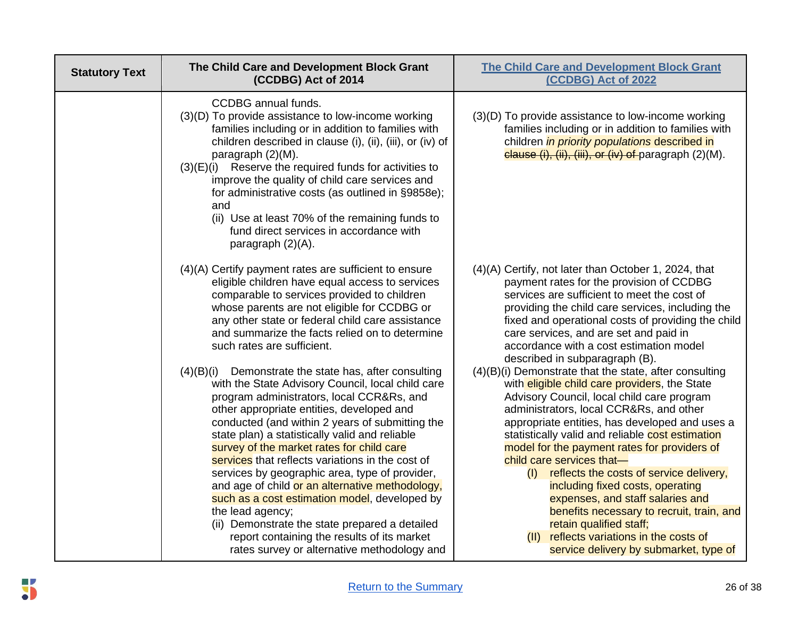| <b>Statutory Text</b> | The Child Care and Development Block Grant<br>(CCDBG) Act of 2014                                                                                                                                                                                                                                                                                                                                                                                                                                                                                                                                                                                                                                                                      | <b>The Child Care and Development Block Grant</b><br>(CCDBG) Act of 2022                                                                                                                                                                                                                                                                                                                                                                                                                                                                                                                                                                                                         |
|-----------------------|----------------------------------------------------------------------------------------------------------------------------------------------------------------------------------------------------------------------------------------------------------------------------------------------------------------------------------------------------------------------------------------------------------------------------------------------------------------------------------------------------------------------------------------------------------------------------------------------------------------------------------------------------------------------------------------------------------------------------------------|----------------------------------------------------------------------------------------------------------------------------------------------------------------------------------------------------------------------------------------------------------------------------------------------------------------------------------------------------------------------------------------------------------------------------------------------------------------------------------------------------------------------------------------------------------------------------------------------------------------------------------------------------------------------------------|
|                       | <b>CCDBG</b> annual funds.<br>(3)(D) To provide assistance to low-income working<br>families including or in addition to families with<br>children described in clause (i), (ii), (iii), or (iv) of<br>paragraph (2)(M).<br>$(3)(E)(i)$ Reserve the required funds for activities to<br>improve the quality of child care services and<br>for administrative costs (as outlined in §9858e);<br>and<br>(ii) Use at least 70% of the remaining funds to<br>fund direct services in accordance with<br>paragraph (2)(A).                                                                                                                                                                                                                  | (3)(D) To provide assistance to low-income working<br>families including or in addition to families with<br>children <i>in priority populations</i> described in<br>clause (i), (ii), (iii), or (iv) of paragraph (2)(M).                                                                                                                                                                                                                                                                                                                                                                                                                                                        |
|                       | (4)(A) Certify payment rates are sufficient to ensure<br>eligible children have equal access to services<br>comparable to services provided to children<br>whose parents are not eligible for CCDBG or<br>any other state or federal child care assistance<br>and summarize the facts relied on to determine<br>such rates are sufficient.                                                                                                                                                                                                                                                                                                                                                                                             | (4)(A) Certify, not later than October 1, 2024, that<br>payment rates for the provision of CCDBG<br>services are sufficient to meet the cost of<br>providing the child care services, including the<br>fixed and operational costs of providing the child<br>care services, and are set and paid in<br>accordance with a cost estimation model<br>described in subparagraph (B).                                                                                                                                                                                                                                                                                                 |
|                       | $(4)(B)(i)$ Demonstrate the state has, after consulting<br>with the State Advisory Council, local child care<br>program administrators, local CCR&Rs, and<br>other appropriate entities, developed and<br>conducted (and within 2 years of submitting the<br>state plan) a statistically valid and reliable<br>survey of the market rates for child care<br>services that reflects variations in the cost of<br>services by geographic area, type of provider,<br>and age of child or an alternative methodology,<br>such as a cost estimation model, developed by<br>the lead agency;<br>(ii) Demonstrate the state prepared a detailed<br>report containing the results of its market<br>rates survey or alternative methodology and | $(4)(B)(i)$ Demonstrate that the state, after consulting<br>with eligible child care providers, the State<br>Advisory Council, local child care program<br>administrators, local CCR&Rs, and other<br>appropriate entities, has developed and uses a<br>statistically valid and reliable cost estimation<br>model for the payment rates for providers of<br>child care services that-<br>reflects the costs of service delivery,<br>(1)<br>including fixed costs, operating<br>expenses, and staff salaries and<br>benefits necessary to recruit, train, and<br>retain qualified staff;<br>reflects variations in the costs of<br>(11)<br>service delivery by submarket, type of |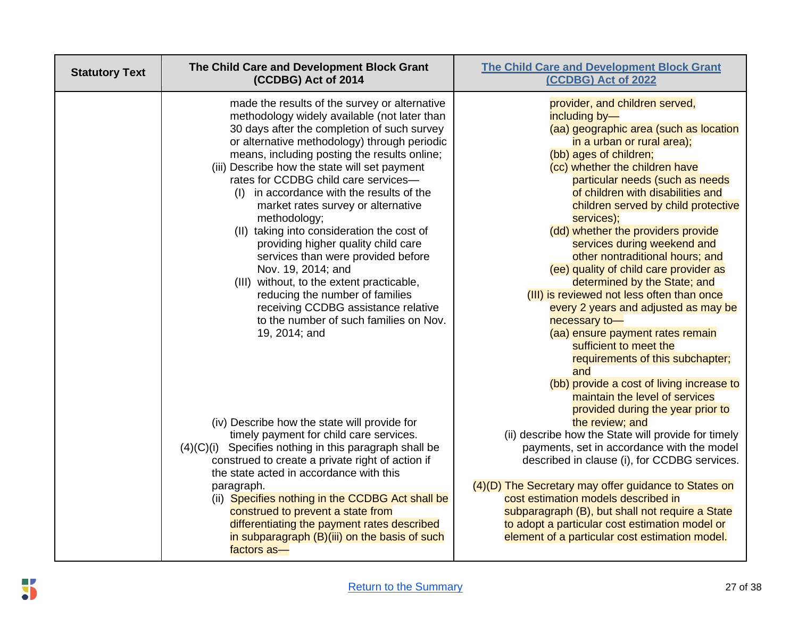| <b>Statutory Text</b> | The Child Care and Development Block Grant<br>(CCDBG) Act of 2014                                                                                                                                                                                                                                                                                                                                                                                                                                                                                                                                                                                                                                                                                                              | <b>The Child Care and Development Block Grant</b><br>(CCDBG) Act of 2022                                                                                                                                                                                                                                                                                                                                                                                                                                                                                                                                                                                                                                           |
|-----------------------|--------------------------------------------------------------------------------------------------------------------------------------------------------------------------------------------------------------------------------------------------------------------------------------------------------------------------------------------------------------------------------------------------------------------------------------------------------------------------------------------------------------------------------------------------------------------------------------------------------------------------------------------------------------------------------------------------------------------------------------------------------------------------------|--------------------------------------------------------------------------------------------------------------------------------------------------------------------------------------------------------------------------------------------------------------------------------------------------------------------------------------------------------------------------------------------------------------------------------------------------------------------------------------------------------------------------------------------------------------------------------------------------------------------------------------------------------------------------------------------------------------------|
|                       | made the results of the survey or alternative<br>methodology widely available (not later than<br>30 days after the completion of such survey<br>or alternative methodology) through periodic<br>means, including posting the results online;<br>(iii) Describe how the state will set payment<br>rates for CCDBG child care services-<br>in accordance with the results of the<br>(1)<br>market rates survey or alternative<br>methodology;<br>(II) taking into consideration the cost of<br>providing higher quality child care<br>services than were provided before<br>Nov. 19, 2014; and<br>(III) without, to the extent practicable,<br>reducing the number of families<br>receiving CCDBG assistance relative<br>to the number of such families on Nov.<br>19, 2014; and | provider, and children served,<br>including by-<br>(aa) geographic area (such as location<br>in a urban or rural area);<br>(bb) ages of children;<br>(cc) whether the children have<br>particular needs (such as needs<br>of children with disabilities and<br>children served by child protective<br>services);<br>(dd) whether the providers provide<br>services during weekend and<br>other nontraditional hours; and<br>(ee) quality of child care provider as<br>determined by the State; and<br>(III) is reviewed not less often than once<br>every 2 years and adjusted as may be<br>necessary to-<br>(aa) ensure payment rates remain<br>sufficient to meet the<br>requirements of this subchapter;<br>and |
|                       | (iv) Describe how the state will provide for<br>timely payment for child care services.<br>$(4)(C)(i)$ Specifies nothing in this paragraph shall be<br>construed to create a private right of action if<br>the state acted in accordance with this<br>paragraph.<br>(ii) Specifies nothing in the CCDBG Act shall be<br>construed to prevent a state from<br>differentiating the payment rates described<br>in subparagraph (B)(iii) on the basis of such<br>factors as-                                                                                                                                                                                                                                                                                                       | (bb) provide a cost of living increase to<br>maintain the level of services<br>provided during the year prior to<br>the review; and<br>(ii) describe how the State will provide for timely<br>payments, set in accordance with the model<br>described in clause (i), for CCDBG services.<br>(4)(D) The Secretary may offer guidance to States on<br>cost estimation models described in<br>subparagraph (B), but shall not require a State<br>to adopt a particular cost estimation model or<br>element of a particular cost estimation model.                                                                                                                                                                     |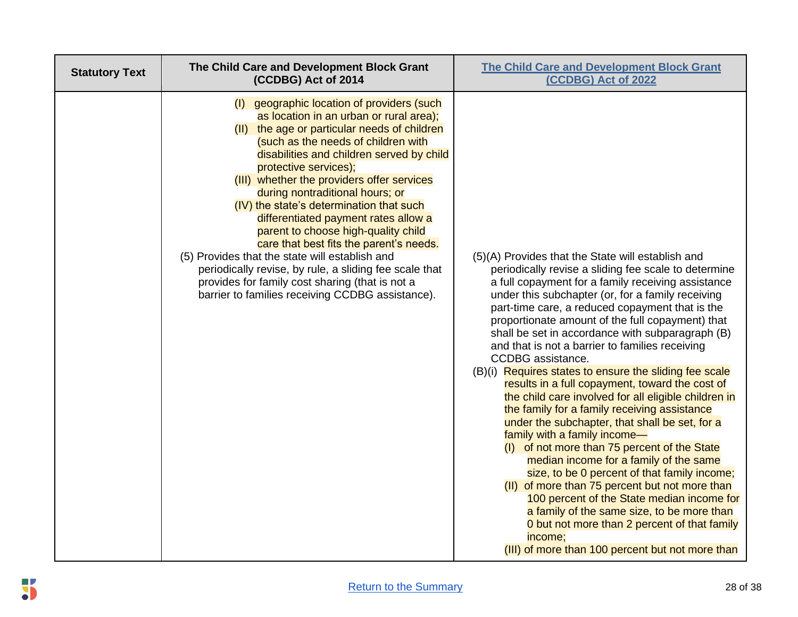| <b>Statutory Text</b> | The Child Care and Development Block Grant<br>(CCDBG) Act of 2014                                                                                                                                                                                                                                                                                                                                                                                                                                                                                                                                                                                                                                                            | <b>The Child Care and Development Block Grant</b><br>(CCDBG) Act of 2022                                                                                                                                                                                                                                                                                                                                                                                                                                                                                                                                                                                                                                                                                                                                                                                                                                                                                                                                                                                                                                                                                              |
|-----------------------|------------------------------------------------------------------------------------------------------------------------------------------------------------------------------------------------------------------------------------------------------------------------------------------------------------------------------------------------------------------------------------------------------------------------------------------------------------------------------------------------------------------------------------------------------------------------------------------------------------------------------------------------------------------------------------------------------------------------------|-----------------------------------------------------------------------------------------------------------------------------------------------------------------------------------------------------------------------------------------------------------------------------------------------------------------------------------------------------------------------------------------------------------------------------------------------------------------------------------------------------------------------------------------------------------------------------------------------------------------------------------------------------------------------------------------------------------------------------------------------------------------------------------------------------------------------------------------------------------------------------------------------------------------------------------------------------------------------------------------------------------------------------------------------------------------------------------------------------------------------------------------------------------------------|
|                       | (I) geographic location of providers (such<br>as location in an urban or rural area);<br>(II) the age or particular needs of children<br>(such as the needs of children with<br>disabilities and children served by child<br>protective services);<br>(III) whether the providers offer services<br>during nontraditional hours; or<br>(IV) the state's determination that such<br>differentiated payment rates allow a<br>parent to choose high-quality child<br>care that best fits the parent's needs.<br>(5) Provides that the state will establish and<br>periodically revise, by rule, a sliding fee scale that<br>provides for family cost sharing (that is not a<br>barrier to families receiving CCDBG assistance). | (5)(A) Provides that the State will establish and<br>periodically revise a sliding fee scale to determine<br>a full copayment for a family receiving assistance<br>under this subchapter (or, for a family receiving<br>part-time care, a reduced copayment that is the<br>proportionate amount of the full copayment) that<br>shall be set in accordance with subparagraph (B)<br>and that is not a barrier to families receiving<br>CCDBG assistance.<br>(B)(i) Requires states to ensure the sliding fee scale<br>results in a full copayment, toward the cost of<br>the child care involved for all eligible children in<br>the family for a family receiving assistance<br>under the subchapter, that shall be set, for a<br>family with a family income-<br>(I) of not more than 75 percent of the State<br>median income for a family of the same<br>size, to be 0 percent of that family income;<br>(II) of more than 75 percent but not more than<br>100 percent of the State median income for<br>a family of the same size, to be more than<br>0 but not more than 2 percent of that family<br>income;<br>(III) of more than 100 percent but not more than |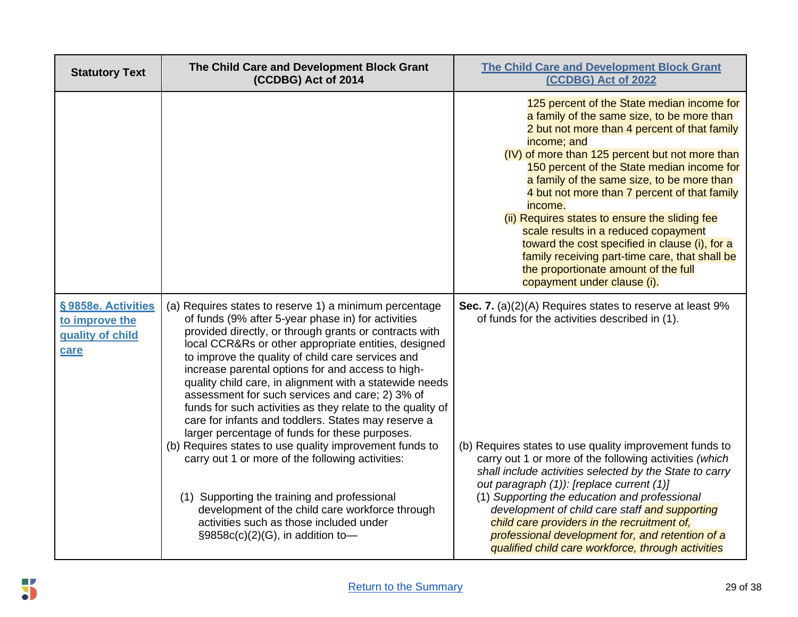| <b>Statutory Text</b>                                            | The Child Care and Development Block Grant<br>(CCDBG) Act of 2014                                                                                                                                                                                                                                                                                                                                                                                                                                                                                                                                                                                                                                                                                                                                                                                                                                                              | <b>The Child Care and Development Block Grant</b><br>(CCDBG) Act of 2022                                                                                                                                                                                                                                                                                                                                                                                                                                                                                                                                                               |
|------------------------------------------------------------------|--------------------------------------------------------------------------------------------------------------------------------------------------------------------------------------------------------------------------------------------------------------------------------------------------------------------------------------------------------------------------------------------------------------------------------------------------------------------------------------------------------------------------------------------------------------------------------------------------------------------------------------------------------------------------------------------------------------------------------------------------------------------------------------------------------------------------------------------------------------------------------------------------------------------------------|----------------------------------------------------------------------------------------------------------------------------------------------------------------------------------------------------------------------------------------------------------------------------------------------------------------------------------------------------------------------------------------------------------------------------------------------------------------------------------------------------------------------------------------------------------------------------------------------------------------------------------------|
|                                                                  |                                                                                                                                                                                                                                                                                                                                                                                                                                                                                                                                                                                                                                                                                                                                                                                                                                                                                                                                | 125 percent of the State median income for<br>a family of the same size, to be more than<br>2 but not more than 4 percent of that family<br>income; and<br>(IV) of more than 125 percent but not more than<br>150 percent of the State median income for<br>a family of the same size, to be more than<br>4 but not more than 7 percent of that family<br>income.<br>(ii) Requires states to ensure the sliding fee<br>scale results in a reduced copayment<br>toward the cost specified in clause (i), for a<br>family receiving part-time care, that shall be<br>the proportionate amount of the full<br>copayment under clause (i). |
| §9858e. Activities<br>to improve the<br>quality of child<br>care | (a) Requires states to reserve 1) a minimum percentage<br>of funds (9% after 5-year phase in) for activities<br>provided directly, or through grants or contracts with<br>local CCR&Rs or other appropriate entities, designed<br>to improve the quality of child care services and<br>increase parental options for and access to high-<br>quality child care, in alignment with a statewide needs<br>assessment for such services and care; 2) 3% of<br>funds for such activities as they relate to the quality of<br>care for infants and toddlers. States may reserve a<br>larger percentage of funds for these purposes.<br>(b) Requires states to use quality improvement funds to<br>carry out 1 or more of the following activities:<br>(1) Supporting the training and professional<br>development of the child care workforce through<br>activities such as those included under<br>§9858c(c)(2)(G), in addition to- | Sec. 7. (a)(2)(A) Requires states to reserve at least 9%<br>of funds for the activities described in (1).<br>(b) Requires states to use quality improvement funds to<br>carry out 1 or more of the following activities (which<br>shall include activities selected by the State to carry<br>out paragraph (1)): [replace current (1)]<br>(1) Supporting the education and professional<br>development of child care staff and supporting<br>child care providers in the recruitment of,<br>professional development for, and retention of a<br>qualified child care workforce, through activities                                     |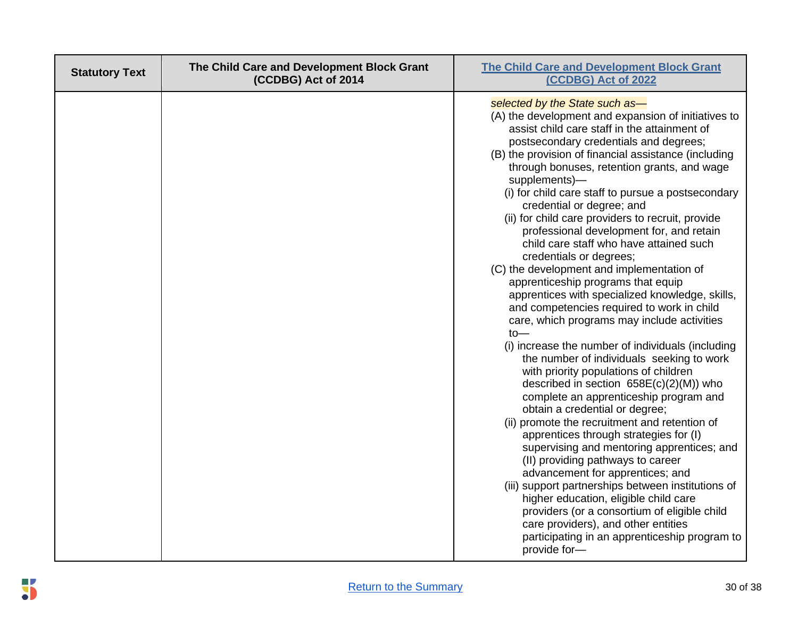| <b>Statutory Text</b> | The Child Care and Development Block Grant<br>(CCDBG) Act of 2014 | <b>The Child Care and Development Block Grant</b><br>(CCDBG) Act of 2022                                                                                                                                                                                                                                                                                                                                                                                                                                                                                                                                                                                                                                                                                                                                                                                                                                                                                                                                                                                                                                                                                                                                                                                                                                                                                                                                                                                                                                                                                 |
|-----------------------|-------------------------------------------------------------------|----------------------------------------------------------------------------------------------------------------------------------------------------------------------------------------------------------------------------------------------------------------------------------------------------------------------------------------------------------------------------------------------------------------------------------------------------------------------------------------------------------------------------------------------------------------------------------------------------------------------------------------------------------------------------------------------------------------------------------------------------------------------------------------------------------------------------------------------------------------------------------------------------------------------------------------------------------------------------------------------------------------------------------------------------------------------------------------------------------------------------------------------------------------------------------------------------------------------------------------------------------------------------------------------------------------------------------------------------------------------------------------------------------------------------------------------------------------------------------------------------------------------------------------------------------|
|                       |                                                                   | selected by the State such as-<br>(A) the development and expansion of initiatives to<br>assist child care staff in the attainment of<br>postsecondary credentials and degrees;<br>(B) the provision of financial assistance (including<br>through bonuses, retention grants, and wage<br>supplements)-<br>(i) for child care staff to pursue a postsecondary<br>credential or degree; and<br>(ii) for child care providers to recruit, provide<br>professional development for, and retain<br>child care staff who have attained such<br>credentials or degrees;<br>(C) the development and implementation of<br>apprenticeship programs that equip<br>apprentices with specialized knowledge, skills,<br>and competencies required to work in child<br>care, which programs may include activities<br>$to-$<br>(i) increase the number of individuals (including<br>the number of individuals seeking to work<br>with priority populations of children<br>described in section 658E(c)(2)(M)) who<br>complete an apprenticeship program and<br>obtain a credential or degree;<br>(ii) promote the recruitment and retention of<br>apprentices through strategies for (I)<br>supervising and mentoring apprentices; and<br>(II) providing pathways to career<br>advancement for apprentices; and<br>(iii) support partnerships between institutions of<br>higher education, eligible child care<br>providers (or a consortium of eligible child<br>care providers), and other entities<br>participating in an apprenticeship program to<br>provide for- |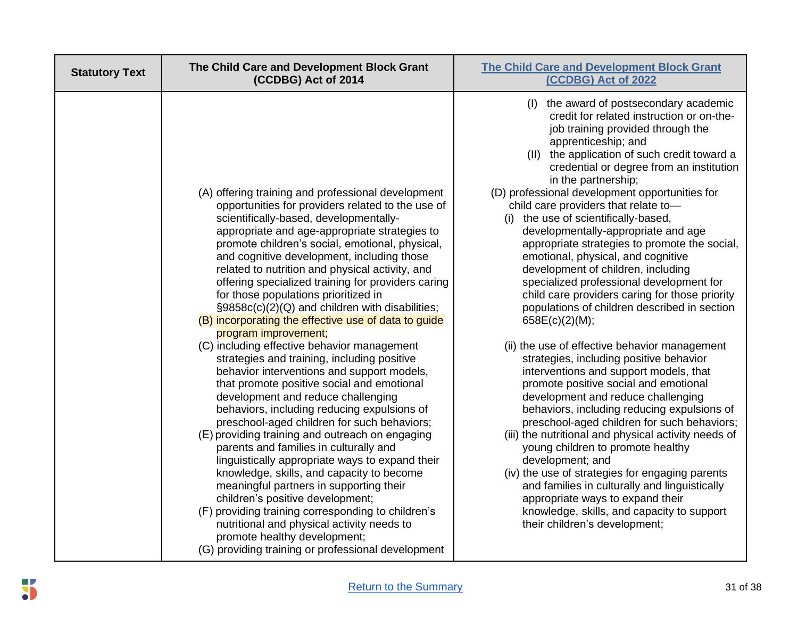| <b>Statutory Text</b> | The Child Care and Development Block Grant<br>(CCDBG) Act of 2014                                                                                                                                                                                                                                                                                                                                                                                                                                                                                                                                                                                                                                                                                                                                                                                                                                                                                                                                                                                                                                                                                                                                                                                                                                                                                                                           | <b>The Child Care and Development Block Grant</b><br>(CCDBG) Act of 2022                                                                                                                                                                                                                                                                                                                                                                                                                                                                                                                                                                                                                                                                                                                                                                                                                                                                                                                                                                                                                                                                                                                                                                                                                                                                                                                                |
|-----------------------|---------------------------------------------------------------------------------------------------------------------------------------------------------------------------------------------------------------------------------------------------------------------------------------------------------------------------------------------------------------------------------------------------------------------------------------------------------------------------------------------------------------------------------------------------------------------------------------------------------------------------------------------------------------------------------------------------------------------------------------------------------------------------------------------------------------------------------------------------------------------------------------------------------------------------------------------------------------------------------------------------------------------------------------------------------------------------------------------------------------------------------------------------------------------------------------------------------------------------------------------------------------------------------------------------------------------------------------------------------------------------------------------|---------------------------------------------------------------------------------------------------------------------------------------------------------------------------------------------------------------------------------------------------------------------------------------------------------------------------------------------------------------------------------------------------------------------------------------------------------------------------------------------------------------------------------------------------------------------------------------------------------------------------------------------------------------------------------------------------------------------------------------------------------------------------------------------------------------------------------------------------------------------------------------------------------------------------------------------------------------------------------------------------------------------------------------------------------------------------------------------------------------------------------------------------------------------------------------------------------------------------------------------------------------------------------------------------------------------------------------------------------------------------------------------------------|
|                       | (A) offering training and professional development<br>opportunities for providers related to the use of<br>scientifically-based, developmentally-<br>appropriate and age-appropriate strategies to<br>promote children's social, emotional, physical,<br>and cognitive development, including those<br>related to nutrition and physical activity, and<br>offering specialized training for providers caring<br>for those populations prioritized in<br>§9858c(c)(2)(Q) and children with disabilities;<br>(B) incorporating the effective use of data to guide<br>program improvement;<br>(C) including effective behavior management<br>strategies and training, including positive<br>behavior interventions and support models,<br>that promote positive social and emotional<br>development and reduce challenging<br>behaviors, including reducing expulsions of<br>preschool-aged children for such behaviors;<br>(E) providing training and outreach on engaging<br>parents and families in culturally and<br>linguistically appropriate ways to expand their<br>knowledge, skills, and capacity to become<br>meaningful partners in supporting their<br>children's positive development;<br>(F) providing training corresponding to children's<br>nutritional and physical activity needs to<br>promote healthy development;<br>(G) providing training or professional development | the award of postsecondary academic<br>(I)<br>credit for related instruction or on-the-<br>job training provided through the<br>apprenticeship; and<br>(II) the application of such credit toward a<br>credential or degree from an institution<br>in the partnership;<br>(D) professional development opportunities for<br>child care providers that relate to-<br>(i) the use of scientifically-based,<br>developmentally-appropriate and age<br>appropriate strategies to promote the social,<br>emotional, physical, and cognitive<br>development of children, including<br>specialized professional development for<br>child care providers caring for those priority<br>populations of children described in section<br>658E(c)(2)(M);<br>(ii) the use of effective behavior management<br>strategies, including positive behavior<br>interventions and support models, that<br>promote positive social and emotional<br>development and reduce challenging<br>behaviors, including reducing expulsions of<br>preschool-aged children for such behaviors;<br>(iii) the nutritional and physical activity needs of<br>young children to promote healthy<br>development; and<br>(iv) the use of strategies for engaging parents<br>and families in culturally and linguistically<br>appropriate ways to expand their<br>knowledge, skills, and capacity to support<br>their children's development; |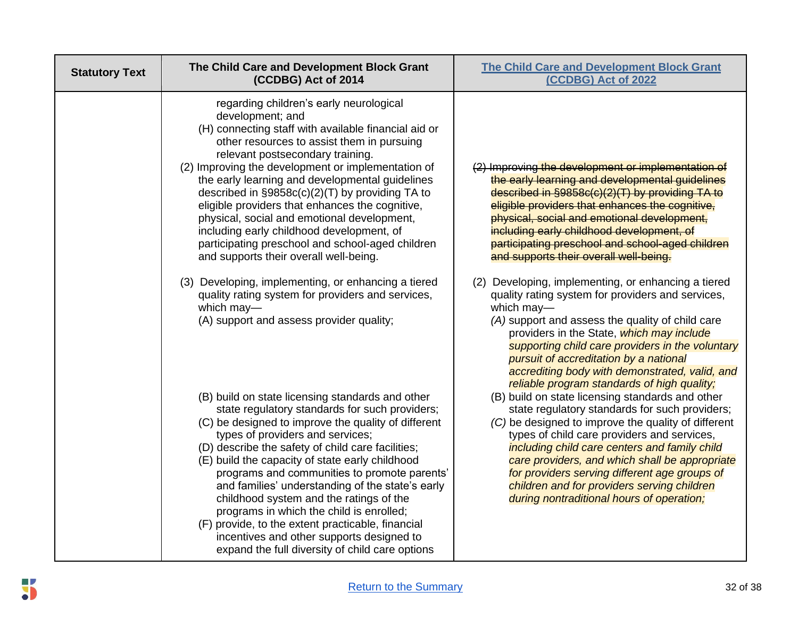| <b>Statutory Text</b> | The Child Care and Development Block Grant<br>(CCDBG) Act of 2014                                                                                                                                                                                                                                                                                                                                                                                                                                                                                                                                                                                     | <b>The Child Care and Development Block Grant</b><br>(CCDBG) Act of 2022                                                                                                                                                                                                                                                                                                                                                                                 |
|-----------------------|-------------------------------------------------------------------------------------------------------------------------------------------------------------------------------------------------------------------------------------------------------------------------------------------------------------------------------------------------------------------------------------------------------------------------------------------------------------------------------------------------------------------------------------------------------------------------------------------------------------------------------------------------------|----------------------------------------------------------------------------------------------------------------------------------------------------------------------------------------------------------------------------------------------------------------------------------------------------------------------------------------------------------------------------------------------------------------------------------------------------------|
|                       | regarding children's early neurological<br>development; and<br>(H) connecting staff with available financial aid or<br>other resources to assist them in pursuing<br>relevant postsecondary training.<br>(2) Improving the development or implementation of<br>the early learning and developmental guidelines<br>described in §9858c(c)(2)(T) by providing TA to<br>eligible providers that enhances the cognitive,<br>physical, social and emotional development,<br>including early childhood development, of<br>participating preschool and school-aged children<br>and supports their overall well-being.                                        | (2) Improving the development or implementation of<br>the early learning and developmental guidelines<br>described in §9858c(c)(2)(T) by providing TA to<br>eligible providers that enhances the cognitive,<br>physical, social and emotional development,<br>including early childhood development, of<br>participating preschool and school-aged children<br>and supports their overall well-being.                                                    |
|                       | (3) Developing, implementing, or enhancing a tiered<br>quality rating system for providers and services,<br>which may-<br>(A) support and assess provider quality;                                                                                                                                                                                                                                                                                                                                                                                                                                                                                    | (2) Developing, implementing, or enhancing a tiered<br>quality rating system for providers and services,<br>which may-<br>(A) support and assess the quality of child care<br>providers in the State, which may include<br>supporting child care providers in the voluntary<br>pursuit of accreditation by a national<br>accrediting body with demonstrated, valid, and<br>reliable program standards of high quality;                                   |
|                       | (B) build on state licensing standards and other<br>state regulatory standards for such providers;<br>(C) be designed to improve the quality of different<br>types of providers and services;<br>(D) describe the safety of child care facilities;<br>(E) build the capacity of state early childhood<br>programs and communities to promote parents'<br>and families' understanding of the state's early<br>childhood system and the ratings of the<br>programs in which the child is enrolled;<br>(F) provide, to the extent practicable, financial<br>incentives and other supports designed to<br>expand the full diversity of child care options | (B) build on state licensing standards and other<br>state regulatory standards for such providers;<br>(C) be designed to improve the quality of different<br>types of child care providers and services,<br>including child care centers and family child<br>care providers, and which shall be appropriate<br>for providers serving different age groups of<br>children and for providers serving children<br>during nontraditional hours of operation; |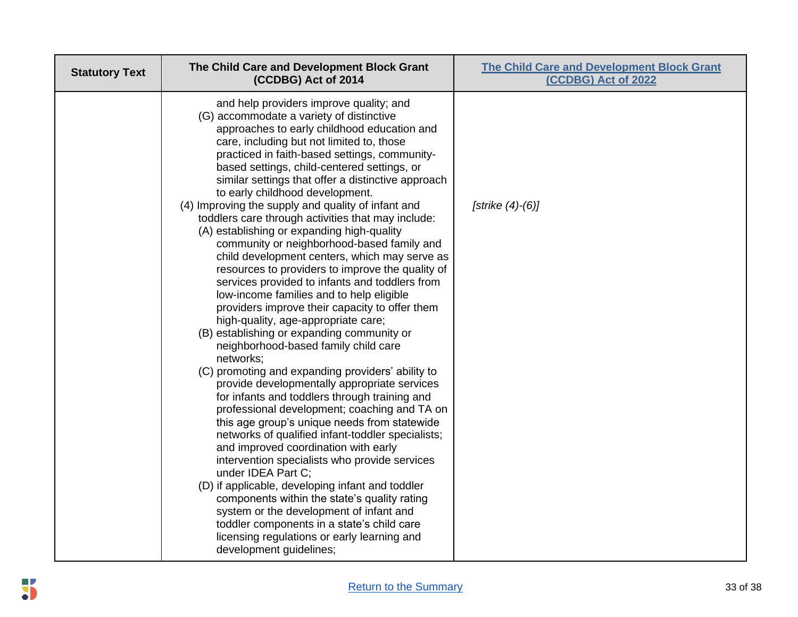| <b>Statutory Text</b> | The Child Care and Development Block Grant<br>(CCDBG) Act of 2014                                                                                                                                                                                                                                                                                                                                                                                                                                                                                                                                                                                                                                                                                                                                                                                                                                                                                                                                                                                                                                                                                                                                                                                                                                                                                                                                                                                                                                                                                                                                                                                                                | <b>The Child Care and Development Block Grant</b><br>(CCDBG) Act of 2022 |
|-----------------------|----------------------------------------------------------------------------------------------------------------------------------------------------------------------------------------------------------------------------------------------------------------------------------------------------------------------------------------------------------------------------------------------------------------------------------------------------------------------------------------------------------------------------------------------------------------------------------------------------------------------------------------------------------------------------------------------------------------------------------------------------------------------------------------------------------------------------------------------------------------------------------------------------------------------------------------------------------------------------------------------------------------------------------------------------------------------------------------------------------------------------------------------------------------------------------------------------------------------------------------------------------------------------------------------------------------------------------------------------------------------------------------------------------------------------------------------------------------------------------------------------------------------------------------------------------------------------------------------------------------------------------------------------------------------------------|--------------------------------------------------------------------------|
|                       | and help providers improve quality; and<br>(G) accommodate a variety of distinctive<br>approaches to early childhood education and<br>care, including but not limited to, those<br>practiced in faith-based settings, community-<br>based settings, child-centered settings, or<br>similar settings that offer a distinctive approach<br>to early childhood development.<br>(4) Improving the supply and quality of infant and<br>toddlers care through activities that may include:<br>(A) establishing or expanding high-quality<br>community or neighborhood-based family and<br>child development centers, which may serve as<br>resources to providers to improve the quality of<br>services provided to infants and toddlers from<br>low-income families and to help eligible<br>providers improve their capacity to offer them<br>high-quality, age-appropriate care;<br>(B) establishing or expanding community or<br>neighborhood-based family child care<br>networks;<br>(C) promoting and expanding providers' ability to<br>provide developmentally appropriate services<br>for infants and toddlers through training and<br>professional development; coaching and TA on<br>this age group's unique needs from statewide<br>networks of qualified infant-toddler specialists;<br>and improved coordination with early<br>intervention specialists who provide services<br>under IDEA Part C;<br>(D) if applicable, developing infant and toddler<br>components within the state's quality rating<br>system or the development of infant and<br>toddler components in a state's child care<br>licensing regulations or early learning and<br>development guidelines; | [strike $(4)-(6)$ ]                                                      |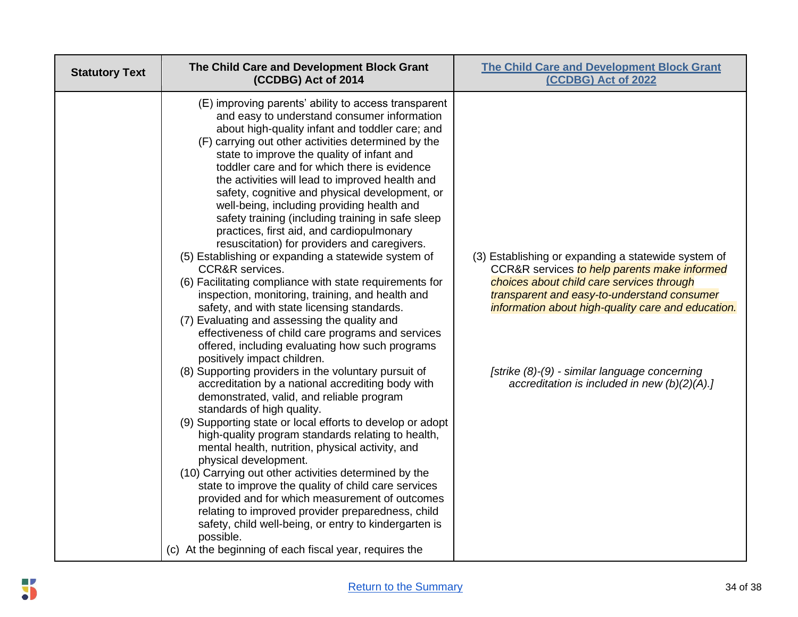| <b>Statutory Text</b> | The Child Care and Development Block Grant<br>(CCDBG) Act of 2014                                                                                                                                                                                                                                                                                                                                                                                                                                                                                                                                                                                                                                                                                                                                                                                                                                                                                                                                                                                                                                                                                                                                                                                                                                                                                                                                                                                                                                                                                                                                                                                                                                                                                                                                        | <b>The Child Care and Development Block Grant</b><br>(CCDBG) Act of 2022                                                                                                                                                                                                                                                                                  |
|-----------------------|----------------------------------------------------------------------------------------------------------------------------------------------------------------------------------------------------------------------------------------------------------------------------------------------------------------------------------------------------------------------------------------------------------------------------------------------------------------------------------------------------------------------------------------------------------------------------------------------------------------------------------------------------------------------------------------------------------------------------------------------------------------------------------------------------------------------------------------------------------------------------------------------------------------------------------------------------------------------------------------------------------------------------------------------------------------------------------------------------------------------------------------------------------------------------------------------------------------------------------------------------------------------------------------------------------------------------------------------------------------------------------------------------------------------------------------------------------------------------------------------------------------------------------------------------------------------------------------------------------------------------------------------------------------------------------------------------------------------------------------------------------------------------------------------------------|-----------------------------------------------------------------------------------------------------------------------------------------------------------------------------------------------------------------------------------------------------------------------------------------------------------------------------------------------------------|
|                       | (E) improving parents' ability to access transparent<br>and easy to understand consumer information<br>about high-quality infant and toddler care; and<br>(F) carrying out other activities determined by the<br>state to improve the quality of infant and<br>toddler care and for which there is evidence<br>the activities will lead to improved health and<br>safety, cognitive and physical development, or<br>well-being, including providing health and<br>safety training (including training in safe sleep<br>practices, first aid, and cardiopulmonary<br>resuscitation) for providers and caregivers.<br>(5) Establishing or expanding a statewide system of<br><b>CCR&amp;R</b> services.<br>(6) Facilitating compliance with state requirements for<br>inspection, monitoring, training, and health and<br>safety, and with state licensing standards.<br>(7) Evaluating and assessing the quality and<br>effectiveness of child care programs and services<br>offered, including evaluating how such programs<br>positively impact children.<br>(8) Supporting providers in the voluntary pursuit of<br>accreditation by a national accrediting body with<br>demonstrated, valid, and reliable program<br>standards of high quality.<br>(9) Supporting state or local efforts to develop or adopt<br>high-quality program standards relating to health,<br>mental health, nutrition, physical activity, and<br>physical development.<br>(10) Carrying out other activities determined by the<br>state to improve the quality of child care services<br>provided and for which measurement of outcomes<br>relating to improved provider preparedness, child<br>safety, child well-being, or entry to kindergarten is<br>possible.<br>(c) At the beginning of each fiscal year, requires the | (3) Establishing or expanding a statewide system of<br>CCR&R services to help parents make informed<br>choices about child care services through<br>transparent and easy-to-understand consumer<br>information about high-quality care and education.<br>[strike (8)-(9) - similar language concerning<br>accreditation is included in new $(b)(2)(A).$ ] |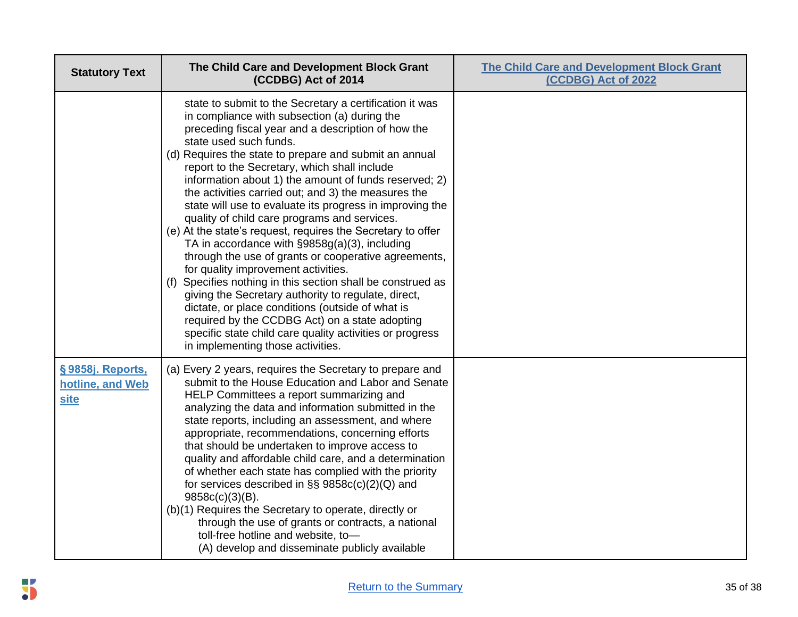| <b>Statutory Text</b>                               | The Child Care and Development Block Grant<br>(CCDBG) Act of 2014                                                                                                                                                                                                                                                                                                                                                                                                                                                                                                                                                                                                                                                                                                                                                                                                                                                                                                                                                                                                         | <b>The Child Care and Development Block Grant</b><br>(CCDBG) Act of 2022 |
|-----------------------------------------------------|---------------------------------------------------------------------------------------------------------------------------------------------------------------------------------------------------------------------------------------------------------------------------------------------------------------------------------------------------------------------------------------------------------------------------------------------------------------------------------------------------------------------------------------------------------------------------------------------------------------------------------------------------------------------------------------------------------------------------------------------------------------------------------------------------------------------------------------------------------------------------------------------------------------------------------------------------------------------------------------------------------------------------------------------------------------------------|--------------------------------------------------------------------------|
|                                                     | state to submit to the Secretary a certification it was<br>in compliance with subsection (a) during the<br>preceding fiscal year and a description of how the<br>state used such funds.<br>(d) Requires the state to prepare and submit an annual<br>report to the Secretary, which shall include<br>information about 1) the amount of funds reserved; 2)<br>the activities carried out; and 3) the measures the<br>state will use to evaluate its progress in improving the<br>quality of child care programs and services.<br>(e) At the state's request, requires the Secretary to offer<br>TA in accordance with §9858g(a)(3), including<br>through the use of grants or cooperative agreements,<br>for quality improvement activities.<br>(f) Specifies nothing in this section shall be construed as<br>giving the Secretary authority to regulate, direct,<br>dictate, or place conditions (outside of what is<br>required by the CCDBG Act) on a state adopting<br>specific state child care quality activities or progress<br>in implementing those activities. |                                                                          |
| §9858j. Reports,<br>hotline, and Web<br><b>site</b> | (a) Every 2 years, requires the Secretary to prepare and<br>submit to the House Education and Labor and Senate<br>HELP Committees a report summarizing and<br>analyzing the data and information submitted in the<br>state reports, including an assessment, and where<br>appropriate, recommendations, concerning efforts<br>that should be undertaken to improve access to<br>quality and affordable child care, and a determination<br>of whether each state has complied with the priority<br>for services described in $\S$ § 9858 $c$ (c)(2)(Q) and<br>$9858c(c)(3)(B)$ .<br>(b)(1) Requires the Secretary to operate, directly or<br>through the use of grants or contracts, a national<br>toll-free hotline and website, to-<br>(A) develop and disseminate publicly available                                                                                                                                                                                                                                                                                    |                                                                          |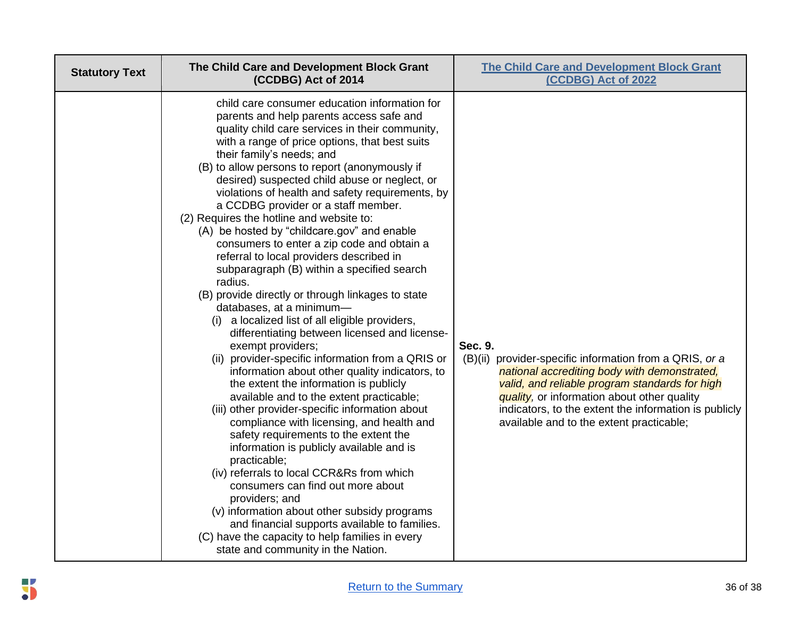| <b>Statutory Text</b> | The Child Care and Development Block Grant<br>(CCDBG) Act of 2014                                                                                                                                                                                                                                                                                                                                                                                                                                                                                                                                                                                                                                                                                                                                                                                                                                                                                                                                                                                                                                                                                                                                                                                                                                                                                                                                                                                                                                                                                                                    | <b>The Child Care and Development Block Grant</b><br>(CCDBG) Act of 2022                                                                                                                                                                                                                                                 |
|-----------------------|--------------------------------------------------------------------------------------------------------------------------------------------------------------------------------------------------------------------------------------------------------------------------------------------------------------------------------------------------------------------------------------------------------------------------------------------------------------------------------------------------------------------------------------------------------------------------------------------------------------------------------------------------------------------------------------------------------------------------------------------------------------------------------------------------------------------------------------------------------------------------------------------------------------------------------------------------------------------------------------------------------------------------------------------------------------------------------------------------------------------------------------------------------------------------------------------------------------------------------------------------------------------------------------------------------------------------------------------------------------------------------------------------------------------------------------------------------------------------------------------------------------------------------------------------------------------------------------|--------------------------------------------------------------------------------------------------------------------------------------------------------------------------------------------------------------------------------------------------------------------------------------------------------------------------|
|                       | child care consumer education information for<br>parents and help parents access safe and<br>quality child care services in their community,<br>with a range of price options, that best suits<br>their family's needs; and<br>(B) to allow persons to report (anonymously if<br>desired) suspected child abuse or neglect, or<br>violations of health and safety requirements, by<br>a CCDBG provider or a staff member.<br>(2) Requires the hotline and website to:<br>(A) be hosted by "childcare.gov" and enable<br>consumers to enter a zip code and obtain a<br>referral to local providers described in<br>subparagraph (B) within a specified search<br>radius.<br>(B) provide directly or through linkages to state<br>databases, at a minimum-<br>a localized list of all eligible providers,<br>(i)<br>differentiating between licensed and license-<br>exempt providers;<br>(ii) provider-specific information from a QRIS or<br>information about other quality indicators, to<br>the extent the information is publicly<br>available and to the extent practicable;<br>(iii) other provider-specific information about<br>compliance with licensing, and health and<br>safety requirements to the extent the<br>information is publicly available and is<br>practicable;<br>(iv) referrals to local CCR&Rs from which<br>consumers can find out more about<br>providers; and<br>(v) information about other subsidy programs<br>and financial supports available to families.<br>(C) have the capacity to help families in every<br>state and community in the Nation. | Sec. 9.<br>(B)(ii) provider-specific information from a QRIS, or a<br>national accrediting body with demonstrated,<br>valid, and reliable program standards for high<br>quality, or information about other quality<br>indicators, to the extent the information is publicly<br>available and to the extent practicable; |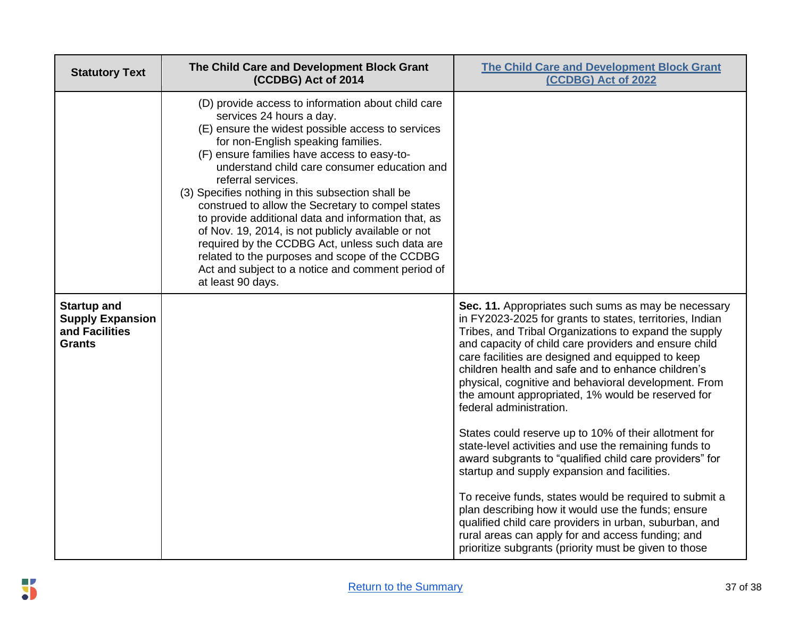| <b>Statutory Text</b>                                                            | The Child Care and Development Block Grant<br>(CCDBG) Act of 2014                                                                                                                                                                                                                                                                                                                                                                                                                                                                                                                                                                                                                                    | <b>The Child Care and Development Block Grant</b><br>(CCDBG) Act of 2022                                                                                                                                                                                                                                                                                                                                                                                                                                                                                                                                                                                                                                                                                                                                                                                                                                                                         |
|----------------------------------------------------------------------------------|------------------------------------------------------------------------------------------------------------------------------------------------------------------------------------------------------------------------------------------------------------------------------------------------------------------------------------------------------------------------------------------------------------------------------------------------------------------------------------------------------------------------------------------------------------------------------------------------------------------------------------------------------------------------------------------------------|--------------------------------------------------------------------------------------------------------------------------------------------------------------------------------------------------------------------------------------------------------------------------------------------------------------------------------------------------------------------------------------------------------------------------------------------------------------------------------------------------------------------------------------------------------------------------------------------------------------------------------------------------------------------------------------------------------------------------------------------------------------------------------------------------------------------------------------------------------------------------------------------------------------------------------------------------|
|                                                                                  | (D) provide access to information about child care<br>services 24 hours a day.<br>(E) ensure the widest possible access to services<br>for non-English speaking families.<br>(F) ensure families have access to easy-to-<br>understand child care consumer education and<br>referral services.<br>(3) Specifies nothing in this subsection shall be<br>construed to allow the Secretary to compel states<br>to provide additional data and information that, as<br>of Nov. 19, 2014, is not publicly available or not<br>required by the CCDBG Act, unless such data are<br>related to the purposes and scope of the CCDBG<br>Act and subject to a notice and comment period of<br>at least 90 days. |                                                                                                                                                                                                                                                                                                                                                                                                                                                                                                                                                                                                                                                                                                                                                                                                                                                                                                                                                  |
| <b>Startup and</b><br><b>Supply Expansion</b><br>and Facilities<br><b>Grants</b> |                                                                                                                                                                                                                                                                                                                                                                                                                                                                                                                                                                                                                                                                                                      | Sec. 11. Appropriates such sums as may be necessary<br>in FY2023-2025 for grants to states, territories, Indian<br>Tribes, and Tribal Organizations to expand the supply<br>and capacity of child care providers and ensure child<br>care facilities are designed and equipped to keep<br>children health and safe and to enhance children's<br>physical, cognitive and behavioral development. From<br>the amount appropriated, 1% would be reserved for<br>federal administration.<br>States could reserve up to 10% of their allotment for<br>state-level activities and use the remaining funds to<br>award subgrants to "qualified child care providers" for<br>startup and supply expansion and facilities.<br>To receive funds, states would be required to submit a<br>plan describing how it would use the funds; ensure<br>qualified child care providers in urban, suburban, and<br>rural areas can apply for and access funding; and |